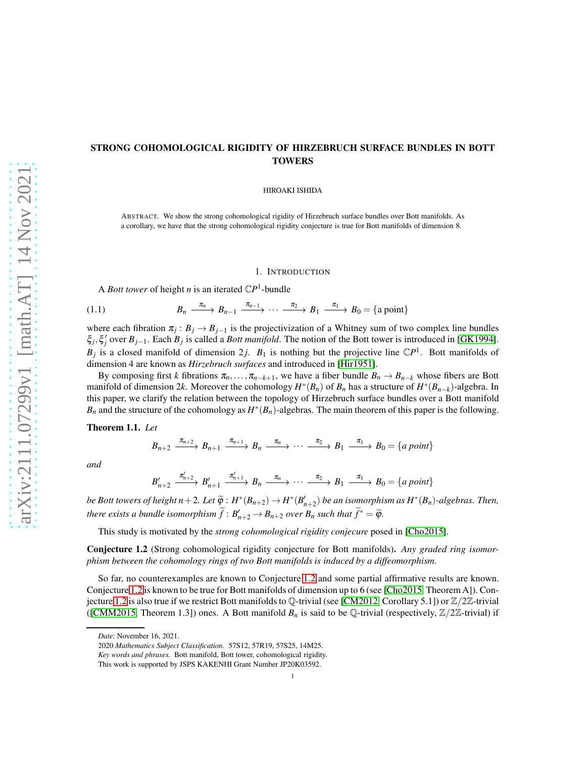# STRONG COHOMOLOGICAL RIGIDITY OF HIRZEBRUCH SURFACE BUNDLES IN BOTT TOWERS

HIROAKI ISHIDA

ABSTRACT. We show the strong cohomological rigidity of Hirzebruch surface bundles over Bott manifolds. As a corollary, we have that the strong cohomological rigidity conjecture is true for Bott manifolds of dimension 8.

#### 1. INTRODUCTION

<span id="page-0-2"></span>A *Bott tower* of height *n* is an iterated  $\mathbb{C}P^1$ -bundle

$$
(1.1) \t B_n \xrightarrow{\pi_n} B_{n-1} \xrightarrow{\pi_{n-1}} \cdots \xrightarrow{\pi_2} B_1 \xrightarrow{\pi_1} B_0 = \{a \text{ point}\}
$$

where each fibration  $\pi_j$ :  $B_j \to B_{j-1}$  is the projectivization of a Whitney sum of two complex line bundles  $\xi_j$ , $\xi'_j$  over  $B_{j-1}$ . Each  $B_j$  is called a *Bott manifold*. The notion of the Bott tower is introduced in [\[GK1994\]](#page-15-0).  $B_j$  is a closed manifold of dimension 2*j*.  $B_1$  is nothing but the projective line  $\mathbb{C}P^1$ . Bott manifolds of dimension 4 are known as *Hirzebruch surfaces* and introduced in [\[Hir1951\]](#page-15-1).

By composing first *k* fibrations  $\pi_n, \ldots, \pi_{n-k+1}$ , we have a fiber bundle  $B_n \to B_{n-k}$  whose fibers are Bott manifold of dimension 2k. Moreover the cohomology  $H^*(B_n)$  of  $B_n$  has a structure of  $H^*(B_{n-k})$ -algebra. In this paper, we clarify the relation between the topology of Hirzebruch surface bundles over a Bott manifold  $B_n$  and the structure of the cohomology as  $H^*(B_n)$ -algebras. The main theorem of this paper is the following.

### <span id="page-0-1"></span>Theorem 1.1. *Let*

$$
B_{n+2} \xrightarrow{\pi_{n+2}} B_{n+1} \xrightarrow{\pi_{n+1}} B_n \xrightarrow{\pi_n} \cdots \xrightarrow{\pi_2} B_1 \xrightarrow{\pi_1} B_0 = \{a \text{ point}\}
$$

*and*

$$
B'_{n+2} \xrightarrow{\pi'_{n+2}} B'_{n+1} \xrightarrow{\pi'_{n+1}} B_n \xrightarrow{\pi_n} \cdots \xrightarrow{\pi_2} B_1 \xrightarrow{\pi_1} B_0 = \{a \text{ point}\}
$$

*be Bott towers of height n* + 2*.* Let  $\widetilde{\varphi}$  :  $H^*(B_{n+2}) \to H^*(B'_{n+2})$  be an isomorphism as  $H^*(B_n)$ -algebras. Then, *there exists a bundle isomorphism*  $\widetilde{f}: B'_{n+2} \to B_{n+2}$  *over*  $B_n$  *such that*  $\widetilde{f}^* = \widetilde{\varphi}$ *.* 

This study is motivated by the *strong cohomological rigidity conjecure* posed in [\[Cho2015\]](#page-14-0).

<span id="page-0-0"></span>Conjecture 1.2 (Strong cohomological rigidity conjecture for Bott manifolds). *Any graded ring isomorphism between the cohomology rings of two Bott manifolds is induced by a diffeomorphism.*

So far, no counterexamples are known to Conjecture [1.2](#page-0-0) and some partial affirmative results are known. Conjecture [1.2](#page-0-0) is known to be true for Bott manifolds of dimension up to 6 (see [\[Cho2015,](#page-14-0) Theorem A]). Con-jecture [1.2](#page-0-0) is also true if we restrict Bott manifolds to  $\mathbb Q$ -trivial (see [\[CM2012,](#page-14-1) Corollary 5.1]) or  $\mathbb Z/2\mathbb Z$ -trivial ([\[CMM2015,](#page-14-2) Theorem 1.3]) ones. A Bott manifold  $B_n$  is said to be Q-trivial (respectively,  $\mathbb{Z}/2\mathbb{Z}$ -trivial) if

*Date*: November 16, 2021.

<sup>2020</sup> *Mathematics Subject Classification.* 57S12, 57R19, 57S25, 14M25.

*Key words and phrases.* Bott manifold, Bott tower, cohomological rigidity.

This work is supported by JSPS KAKENHI Grant Number JP20K03592.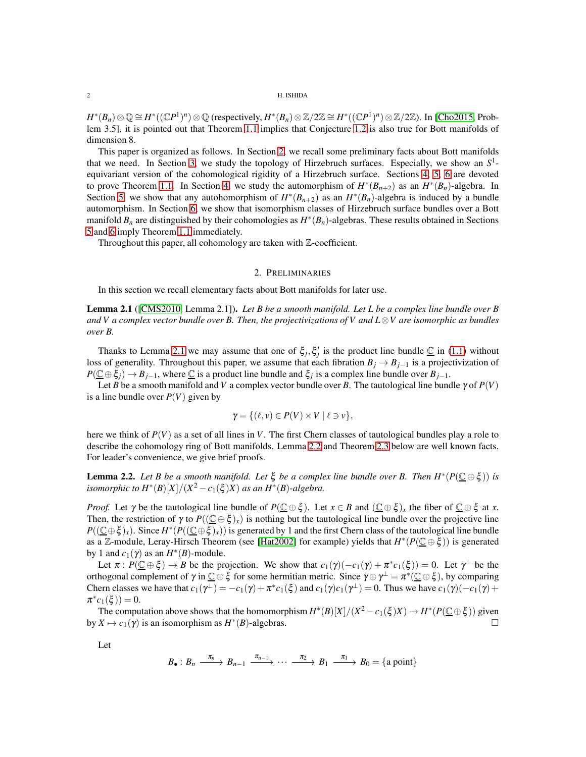$H^*(B_n) \otimes \mathbb{Q} \cong H^*((\mathbb{C}P^1)^n) \otimes \mathbb{Q}$  (respectively,  $H^*(B_n) \otimes \mathbb{Z}/2\mathbb{Z} \cong H^*((\mathbb{C}P^1)^n) \otimes \mathbb{Z}/2\mathbb{Z})$ . In [\[Cho2015,](#page-14-0) Problem 3.5], it is pointed out that Theorem [1.1](#page-0-1) implies that Conjecture [1.2](#page-0-0) is also true for Bott manifolds of dimension 8.

This paper is organized as follows. In Section [2,](#page-1-0) we recall some preliminary facts about Bott manifolds that we need. In Section [3,](#page-3-0) we study the topology of Hirzebruch surfaces. Especially, we show an *S* 1 equivariant version of the cohomological rigidity of a Hirzebruch surface. Sections [4,](#page-6-0) [5,](#page-11-0) [6](#page-12-0) are devoted to prove Theorem [1.1.](#page-0-1) In Section [4,](#page-6-0) we study the automorphism of  $H^*(B_{n+2})$  as an  $H^*(B_n)$ -algebra. In Section [5,](#page-11-0) we show that any autohomorphism of  $H^*(B_{n+2})$  as an  $H^*(B_n)$ -algebra is induced by a bundle automorphism. In Section [6,](#page-12-0) we show that isomorphism classes of Hirzebruch surface bundles over a Bott manifold  $B_n$  are distinguished by their cohomologies as  $H^*(B_n)$ -algebras. These results obtained in Sections [5](#page-11-0) and [6](#page-12-0) imply Theorem [1.1](#page-0-1) immediately.

<span id="page-1-0"></span>Throughout this paper, all cohomology are taken with  $\mathbb Z$ -coefficient.

# 2. PRELIMINARIES

In this section we recall elementary facts about Bott manifolds for later use.

<span id="page-1-1"></span>Lemma 2.1 ([\[CMS2010,](#page-15-2) Lemma 2.1]). *Let B be a smooth manifold. Let L be a complex line bundle over B and V a complex vector bundle over B. Then, the projectivizations of V and L*⊗*V are isomorphic as bundles over B.*

Thanks to Lemma [2.1](#page-1-1) we may assume that one of  $\xi_j$ ,  $\xi'_j$  is the product line bundle  $\underline{\mathbb{C}}$  in [\(1.1\)](#page-0-2) without loss of generality. Throughout this paper, we assume that each fibration  $B_j \to B_{j-1}$  is a projectivization of  $P(\underline{\mathbb{C}} \oplus \xi_j) \to B_{j-1}$ , where  $\underline{\mathbb{C}}$  is a product line bundle and  $\xi_j$  is a complex line bundle over  $B_{j-1}$ .

Let *B* be a smooth manifold and *V* a complex vector bundle over *B*. The tautological line bundle  $\gamma$  of  $P(V)$ is a line bundle over  $P(V)$  given by

$$
\gamma = \{ (\ell, v) \in P(V) \times V \mid \ell \ni v \},\
$$

here we think of *P*(*V*) as a set of all lines in *V*. The first Chern classes of tautological bundles play a role to describe the cohomology ring of Bott manifolds. Lemma [2.2](#page-1-2) and Theorem [2.3](#page-2-0) below are well known facts. For leader's convenience, we give brief proofs.

<span id="page-1-2"></span>**Lemma 2.2.** Let B be a smooth manifold. Let  $\xi$  be a complex line bundle over B. Then  $H^*(P(\underline{\mathbb{C}} \oplus \xi))$  is *isomorphic to*  $H^*(B)[X]/(X^2-c_1(\xi)X)$  *as an*  $H^*(B)$ -algebra.

*Proof.* Let  $\gamma$  be the tautological line bundle of  $P(\mathbb{C} \oplus \xi)$ . Let  $x \in B$  and  $(\mathbb{C} \oplus \xi)_x$  the fiber of  $\mathbb{C} \oplus \xi$  at *x*. Then, the restriction of  $\gamma$  to  $P((\mathbb{C} \oplus \xi)_x)$  is nothing but the tautological line bundle over the projective line  $P((\underline{\mathbb{C}}\oplus \xi)_x)$ . Since  $H^*(P((\underline{\mathbb{C}}\oplus \xi)_x))$  is generated by 1 and the first Chern class of the tautological line bundle as a Z-module, Leray-Hirsch Theorem (see [\[Hat2002\]](#page-15-3) for example) yields that  $H^*(P(\underline{C} \oplus \xi))$  is generated by 1 and  $c_1(\gamma)$  as an  $H^*(B)$ -module.

Let  $\pi$ :  $P(\underline{\mathbb{C}} \oplus \xi) \to B$  be the projection. We show that  $c_1(\gamma)(-c_1(\gamma) + \pi^*c_1(\xi)) = 0$ . Let  $\gamma^{\perp}$  be the orthogonal complement of  $\gamma$  in  $\underline{\mathbb{C}} \oplus \xi$  for some hermitian metric. Since  $\gamma \oplus \gamma^{\perp} = \pi^*(\underline{\mathbb{C}} \oplus \xi)$ , by comparing Chern classes we have that  $c_1(\gamma^{\perp}) = -c_1(\gamma) + \pi^* c_1(\xi)$  and  $c_1(\gamma)c_1(\gamma^{\perp}) = 0$ . Thus we have  $c_1(\gamma)(-c_1(\gamma) + c_2(\xi))$  $\pi^* c_1(\xi) = 0.$ 

The computation above shows that the homomorphism  $H^*(B)[X]/(X^2-c_1(\xi)X) \to H^*(P(\underline{\mathbb{C}} \oplus \xi))$  given by  $X \mapsto c_1(\gamma)$  is an isomorphism as  $H^*(B)$ -algebras.

Let

$$
B_{\bullet}: B_{n} \xrightarrow{\pi_{n}} B_{n-1} \xrightarrow{\pi_{n-1}} \cdots \xrightarrow{\pi_{2}} B_{1} \xrightarrow{\pi_{1}} B_{0} = \{a \text{ point}\}
$$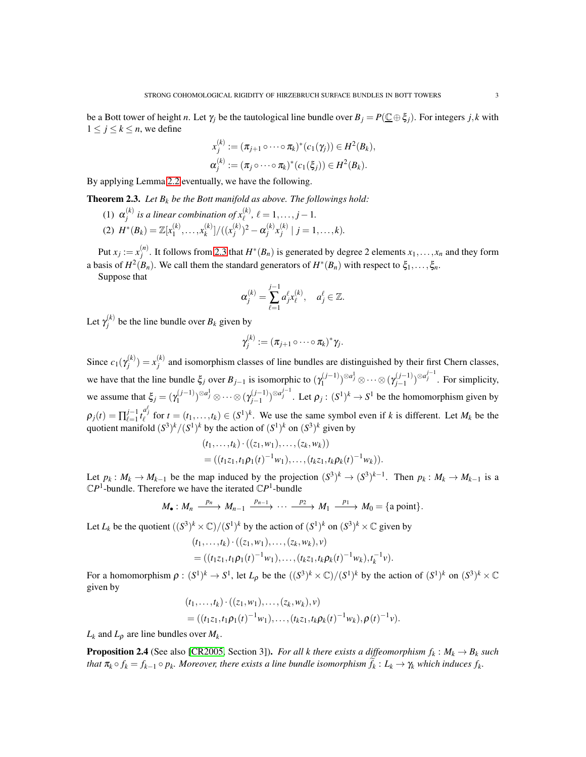be a Bott tower of height *n*. Let  $\gamma_i$  be the tautological line bundle over  $B_i = P(\mathbb{C} \oplus \xi_i)$ . For integers *j*,*k* with  $1 \leq j \leq k \leq n$ , we define

$$
x_j^{(k)} := (\pi_{j+1} \circ \cdots \circ \pi_k)^*(c_1(\gamma_j)) \in H^2(B_k),
$$
  

$$
\alpha_j^{(k)} := (\pi_j \circ \cdots \circ \pi_k)^*(c_1(\xi_j)) \in H^2(B_k).
$$

By applying Lemma [2.2](#page-1-2) eventually, we have the following.

<span id="page-2-0"></span>Theorem 2.3. *Let B<sup>k</sup> be the Bott manifold as above. The followings hold:*

(1)  $\alpha_i^{(k)}$  $j^{(k)}$  *is a linear combination of*  $x^{(k)}_\ell$ ,  $\ell = 1, \ldots, j - 1$ . (2)  $H^*(B_k) = \mathbb{Z}[x_1^{(k)}]$  $x_1^{(k)}, \ldots, x_k^{(k)}$  ${k\choose k}/((x_j^{(k)})$  $\alpha_j^{(k)})^2-\alpha_j^{(k)}$  $\binom{k}{j}$  $\chi_j^{(k)}$  $j^{(k)}$  |  $j = 1, ..., k$ ).

Put  $x_j := x_j^{(n)}$  $j$ <sup>*n*</sup>. It follows from [2.3](#page-2-0) that *H*<sup>∗</sup>(*B<sub>n</sub>*) is generated by degree 2 elements *x*<sub>1</sub>,...,*x<sub>n</sub>* and they form a basis of  $H^2(B_n)$ . We call them the standard generators of  $H^*(B_n)$  with respect to  $\xi_1,\ldots,\xi_n$ .

Suppose that

$$
\boldsymbol{\alpha}_j^{(k)} = \sum_{\ell=1}^{j-1} a_j^{\ell} \boldsymbol{x}_{\ell}^{(k)}, \quad a_j^{\ell} \in \mathbb{Z}.
$$

Let  $\gamma_i^{(k)}$  $j^{(k)}$  be the line bundle over  $B_k$  given by

$$
\gamma_j^{(k)} := (\pi_{j+1} \circ \cdots \circ \pi_k)^* \gamma_j.
$$

Since  $c_1(\gamma_i^{(k)})$  $j^{(k)}$ ) =  $x_j^{(k)}$  $j_i^{(k)}$  and isomorphism classes of line bundles are distinguished by their first Chern classes, we have that the line bundle  $\xi_j$  over  $B_{j-1}$  is isomorphic to  $(\gamma_1^{(j-1)})$  $\gamma_1^{(j-1)})^{\otimes a_j^1} \otimes \cdots \otimes (\gamma_{j-1}^{(j-1)})$ *j*−1 ) ⊗*a j*−1 *j* . For simplicity, we assume that  $\xi_j = (\gamma_1^{(j-1)})$  $\gamma_1^{(j-1)})^{\otimes a_j^1} \otimes \cdots \otimes (\gamma_{j-1}^{(j-1)})$  $(j-1)$ <sup>⊗ $a_j^{j-1}$ </sup>. Let  $\rho_j$ :  $(S^1)^k$  →  $S^1$  be the homomorphism given by  $\rho_j(t) = \prod_{\ell=1}^{j-1}$  $j_{\ell=1}^{j-1} t_{\ell}^{a_{j}^{\ell}}$  for  $t = (t_1, \ldots, t_k) \in (S^1)^k$ . We use the same symbol even if *k* is different. Let  $M_k$  be the quotient manifold  $(S^3)^k/(S^1)^k$  by the action of  $(S^1)^k$  on  $(S^3)^k$  given by

$$
(t_1,\ldots,t_k) \cdot ((z_1,w_1),\ldots,(z_k,w_k))
$$
  
= ((t\_1z\_1,t\_1\rho\_1(t)^{-1}w\_1),\ldots,(t\_kz\_1,t\_k\rho\_k(t)^{-1}w\_k)).

Let  $p_k: M_k \to M_{k-1}$  be the map induced by the projection  $(S^3)^k \to (S^3)^{k-1}$ . Then  $p_k: M_k \to M_{k-1}$  is a  $\mathbb{C}P^1$ -bundle. Therefore we have the iterated  $\mathbb{C}P^1$ -bundle

$$
M_{\bullet}: M_{n} \xrightarrow{p_{n}} M_{n-1} \xrightarrow{p_{n-1}} \cdots \xrightarrow{p_{2}} M_{1} \xrightarrow{p_{1}} M_{0} = \{a \text{ point}\}.
$$

Let  $L_k$  be the quotient  $((S^3)^k \times \mathbb{C})/(S^1)^k$  by the action of  $(S^1)^k$  on  $(S^3)^k \times \mathbb{C}$  given by

$$
(t_1,\ldots,t_k) \cdot ((z_1,w_1),\ldots,(z_k,w_k),v)
$$
  
= 
$$
((t_1z_1,t_1\rho_1(t)^{-1}w_1),\ldots,(t_kz_1,t_k\rho_k(t)^{-1}w_k),t_k^{-1}v).
$$

For a homomorphism  $\rho: (S^1)^k \to S^1$ , let  $L_\rho$  be the  $((S^3)^k \times \mathbb{C})/(S^1)^k$  by the action of  $(S^1)^k$  on  $(S^3)^k \times \mathbb{C}$ given by

$$
(t_1,\ldots,t_k)\cdot((z_1,w_1),\ldots,(z_k,w_k),v)
$$
  
= 
$$
((t_1z_1,t_1\rho_1(t)^{-1}w_1),\ldots,(t_kz_1,t_k\rho_k(t)^{-1}w_k),\rho(t)^{-1}v).
$$

 $L_k$  and  $L_p$  are line bundles over  $M_k$ .

<span id="page-2-1"></span>**Proposition 2.4** (See also [\[CR2005,](#page-15-4) Section 3]). *For all k there exists a diffeomorphism*  $f_k: M_k \to B_k$  *such* that  $\pi_k \circ f_k = f_{k-1} \circ p_k$ . Moreover, there exists a line bundle isomorphism  $f_k: L_k \to \gamma_k$  which induces  $f_k$ .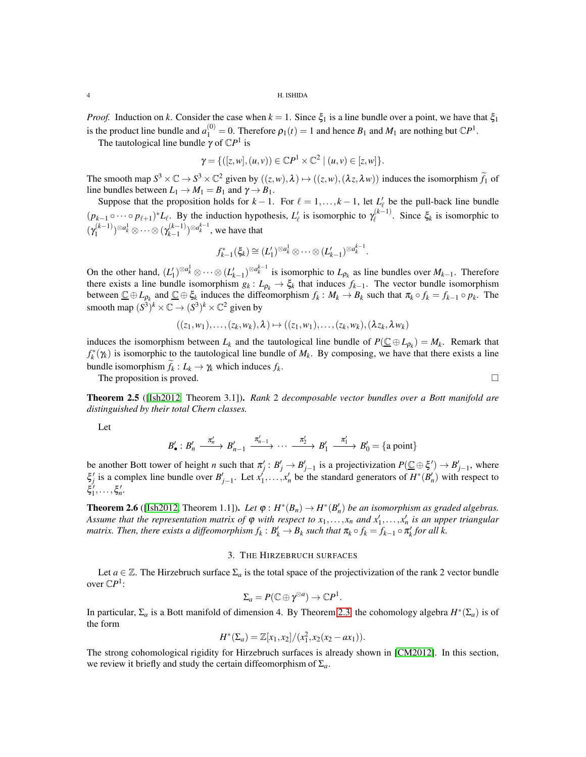*Proof.* Induction on *k*. Consider the case when  $k = 1$ . Since  $\xi_1$  is a line bundle over a point, we have that  $\xi_1$ is the product line bundle and  $a_1^{(0)} = 0$ . Therefore  $p_1(t) = 1$  and hence  $B_1$  and  $M_1$  are nothing but  $\mathbb{C}P^1$ .

The tautological line bundle  $\gamma$  of  $\mathbb{C}P^1$  is

$$
\gamma = \{([z,w], (u,v)) \in \mathbb{C}P^1 \times \mathbb{C}^2 \mid (u,v) \in [z,w] \}.
$$

The smooth map  $S^3 \times \mathbb{C} \to S^3 \times \mathbb{C}^2$  given by  $((z,w),\lambda) \mapsto ((z,w),(\lambda z,\lambda w))$  induces the isomorphism  $\tilde{f}_1$  of line bundles between  $L_1 \rightarrow M_1 = B_1$  and  $\gamma \rightarrow B_1$ .

Suppose that the proposition holds for  $k-1$ . For  $\ell = 1, ..., k-1$ , let  $L'_{\ell}$  be the pull-back line bundle  $(p_{k-1} \circ \cdots \circ p_{\ell+1})^* L_{\ell}$ . By the induction hypothesis,  $L'_{\ell}$  is isomorphic to  $\gamma_{\ell}^{(k-1)}$  $\zeta_k^{(k-1)}$ . Since  $\xi_k$  is isomorphic to  $(\gamma_1^{(k-1)}$  $(\gamma_1^{(k-1)})^{\otimes a^1_k}\otimes\cdots\otimes(\gamma_{k-1}^{(k-1)})$  $\binom{k-1}{k-1}$ <sup>⊗ $a_k^{k-1}$ </sup>, we have that

$$
f_{k-1}^*(\xi_k) \cong (L'_1)^{\otimes a_k^1} \otimes \cdots \otimes (L'_{k-1})^{\otimes a_k^{k-1}}.
$$

On the other hand,  $(L'_1)^{\otimes a_k^1} \otimes \cdots \otimes (L'_{k-1})^{\otimes a_k^{k-1}}$  is isomorphic to  $L_{\rho_k}$  as line bundles over  $M_{k-1}$ . Therefore there exists a line bundle isomorphism  $g_k: L_{\rho_k} \to \xi_k$  that induces  $f_{k-1}$ . The vector bundle isomorphism between  $\underline{\mathbb{C}} \oplus L_{\rho_k}$  and  $\underline{\mathbb{C}} \oplus \xi_k$  induces the diffeomorphism  $f_k: M_k \to B_k$  such that  $\pi_k \circ f_k = f_{k-1} \circ p_k$ . The smooth map  $(S^3)^k \times \mathbb{C} \to (S^3)^k \times \mathbb{C}^2$  given by

$$
((z_1,w_1),\ldots,(z_k,w_k),\lambda)\mapsto ((z_1,w_1),\ldots,(z_k,w_k),(\lambda z_k,\lambda w_k))
$$

induces the isomorphism between  $L_k$  and the tautological line bundle of  $P(\underline{C} \oplus L_{\rho_k}) = M_k$ . Remark that  $f_k^*(\gamma_k)$  is isomorphic to the tautological line bundle of  $M_k$ . By composing, we have that there exists a line bundle isomorphism  $f_k: L_k \to \gamma_k$  which induces  $f_k$ .

The proposition is proved.  $\square$ 

<span id="page-3-1"></span>Theorem 2.5 ([\[Ish2012,](#page-15-5) Theorem 3.1]). *Rank* 2 *decomposable vector bundles over a Bott manifold are distinguished by their total Chern classes.*

Let

$$
B'_{\bullet}: B'_{n} \xrightarrow{\pi'_{n}} B'_{n-1} \xrightarrow{\pi'_{n-1}} \cdots \xrightarrow{\pi'_{2}} B'_{1} \xrightarrow{\pi'_{1}} B'_{0} = \{a \text{ point}\}
$$

be another Bott tower of height *n* such that  $\pi'_j : B'_j \to B'_{j-1}$  is a projectivization  $P(\underline{C} \oplus \xi') \to B'_{j-1}$ , where  $\xi'_j$  is a complex line bundle over  $B'_{j-1}$ . Let  $x'_1, \ldots, x'_n$  be the standard generators of  $H^*(B'_n)$  with respect to  $\xi_1', \ldots, \xi_n'.$ 

<span id="page-3-2"></span>**Theorem 2.6** ([\[Ish2012,](#page-15-5) Theorem 1.1]). Let  $\varphi : H^*(B_n) \to H^*(B'_n)$  be an isomorphism as graded algebras. *Assume that the representation matrix of*  $\varphi$  *with respect to*  $x_1, \ldots, x_n$  *and*  $x'_1, \ldots, x'_n$  *is an upper triangular matrix. Then, there exists a diffeomorphism*  $f_k: B'_k \to B_k$  *such that*  $\pi_k \circ f_k = f_{k-1} \circ \pi'_k$  *for all k.* 

# 3. THE HIRZEBRUCH SURFACES

<span id="page-3-0"></span>Let *a* ∈  $\mathbb{Z}$ . The Hirzebruch surface  $\Sigma_a$  is the total space of the projectivization of the rank 2 vector bundle over  $\mathbb{C}P^1$ :

$$
\Sigma_a = P(\mathbb{C} \oplus \gamma^{\otimes a}) \to \mathbb{C}P^1.
$$

In particular,  $\Sigma_a$  is a Bott manifold of dimension 4. By Theorem [2.3,](#page-2-0) the cohomology algebra  $H^*(\Sigma_a)$  is of the form

$$
H^*(\Sigma_a) = \mathbb{Z}[x_1, x_2]/(x_1^2, x_2(x_2 - ax_1)).
$$

The strong cohomological rigidity for Hirzebruch surfaces is already shown in [\[CM2012\]](#page-14-1). In this section, we review it briefly and study the certain diffeomorphism of Σ*a*.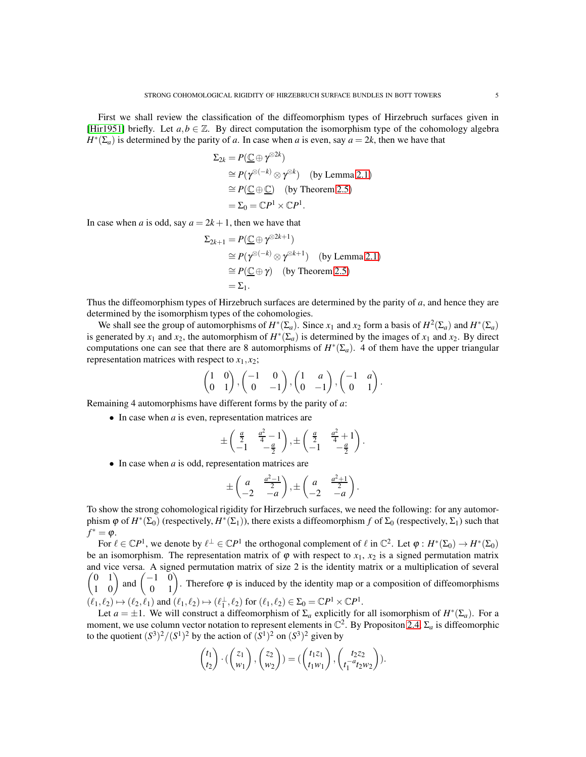First we shall review the classification of the diffeomorphism types of Hirzebruch surfaces given in [\[Hir1951\]](#page-15-1) briefly. Let  $a, b \in \mathbb{Z}$ . By direct computation the isomorphism type of the cohomology algebra  $H^*(\Sigma_a)$  is determined by the parity of *a*. In case when *a* is even, say  $a = 2k$ , then we have that

$$
\Sigma_{2k} = P(\underline{\mathbb{C}} \oplus \gamma^{\otimes 2k})
$$
  
\n
$$
\cong P(\gamma^{\otimes (-k)} \otimes \gamma^{\otimes k}) \quad \text{(by Lemma 2.1)}
$$
  
\n
$$
\cong P(\underline{\mathbb{C}} \oplus \underline{\mathbb{C}}) \quad \text{(by Theorem 2.5)}
$$
  
\n
$$
= \Sigma_0 = \mathbb{C}P^1 \times \mathbb{C}P^1.
$$

In case when *a* is odd, say  $a = 2k + 1$ , then we have that

$$
\Sigma_{2k+1} = P(\underline{\mathbb{C}} \oplus \gamma^{\otimes 2k+1})
$$
  
\n
$$
\cong P(\gamma^{\otimes (-k)} \otimes \gamma^{\otimes k+1}) \quad \text{(by Lemma 2.1)}
$$
  
\n
$$
\cong P(\underline{\mathbb{C}} \oplus \gamma) \quad \text{(by Theorem 2.5)}
$$
  
\n
$$
= \Sigma_1.
$$

Thus the diffeomorphism types of Hirzebruch surfaces are determined by the parity of *a*, and hence they are determined by the isomorphism types of the cohomologies.

We shall see the group of automorphisms of  $H^*(\Sigma_a)$ . Since  $x_1$  and  $x_2$  form a basis of  $H^2(\Sigma_a)$  and  $H^*(\Sigma_a)$ is generated by  $x_1$  and  $x_2$ , the automorphism of  $H^*(\Sigma_a)$  is determined by the images of  $x_1$  and  $x_2$ . By direct computations one can see that there are 8 automorphisms of  $H^*(\Sigma_a)$ . 4 of them have the upper triangular representation matrices with respect to  $x_1, x_2$ ;

$$
\begin{pmatrix} 1 & 0 \ 0 & 1 \end{pmatrix}, \begin{pmatrix} -1 & 0 \ 0 & -1 \end{pmatrix}, \begin{pmatrix} 1 & a \ 0 & -1 \end{pmatrix}, \begin{pmatrix} -1 & a \ 0 & 1 \end{pmatrix}.
$$

Remaining 4 automorphisms have different forms by the parity of *a*:

• In case when *a* is even, representation matrices are

$$
\pm\begin{pmatrix}\frac{a}{2} & \frac{a^2}{4}-1 \\ -1 & -\frac{a}{2}\end{pmatrix}, \pm\begin{pmatrix}\frac{a}{2} & \frac{a^2}{4}+1 \\ -1 & -\frac{a}{2}\end{pmatrix}.
$$

• In case when *a* is odd, representation matrices are

$$
\pm \begin{pmatrix} a & \frac{a^2-1}{2} \\ -2 & -a \end{pmatrix}, \pm \begin{pmatrix} a & \frac{a^2+1}{2} \\ -2 & -a \end{pmatrix}.
$$

To show the strong cohomological rigidity for Hirzebruch surfaces, we need the following: for any automorphism  $\varphi$  of  $H^*(\Sigma_0)$  (respectively,  $H^*(\Sigma_1)$ ), there exists a diffeomorphism  $f$  of  $\Sigma_0$  (respectively,  $\Sigma_1$ ) such that  $f^* = \varphi$ .

For  $\ell \in \mathbb{C}P^1$ , we denote by  $\ell^{\perp} \in \mathbb{C}P^1$  the orthogonal complement of  $\ell$  in  $\mathbb{C}^2$ . Let  $\varphi: H^*(\Sigma_0) \to H^*(\Sigma_0)$ be an isomorphism. The representation matrix of  $\varphi$  with respect to  $x_1$ ,  $x_2$  is a signed permutation matrix and vice versa. A signed permutation matrix of size 2 is the id entity matrix or a multiplication of several  $\begin{pmatrix} 0 & 1 \\ 1 & 0 \end{pmatrix}$  and  $\begin{pmatrix} -1 & 0 \\ 0 & 1 \end{pmatrix}$ . Therefore  $\varphi$  is induced by the identity map or a composition of diffeomorphisms  $(\ell_1, \ell_2) \mapsto (\ell_2, \ell_1)$  and  $(\ell_1, \ell_2) \mapsto (\ell_1^{\perp}, \ell_2)$  for  $(\ell_1, \ell_2) \in \Sigma_0 = \mathbb{C}P^1 \times \mathbb{C}P^1$ .

Let  $a = \pm 1$ . We will construct a diffeomorphism of  $\Sigma_a$  explicitly for all isomorphism of  $H^*(\Sigma_a)$ . For a moment, we use column vector notation to represent elements in  $\mathbb{C}^2$ . By Propositon [2.4,](#page-2-1)  $\Sigma_a$  is diffeomorphic to the quotient  $(S^3)^2/(S^1)^2$  by the action of  $(S^1)^2$  on  $(S^3)^2$  given by

$$
\begin{pmatrix} t_1 \\ t_2 \end{pmatrix} \cdot \left( \begin{pmatrix} z_1 \\ w_1 \end{pmatrix}, \begin{pmatrix} z_2 \\ w_2 \end{pmatrix} \right) = \left( \begin{pmatrix} t_1 z_1 \\ t_1 w_1 \end{pmatrix}, \begin{pmatrix} t_2 z_2 \\ t_1^{-a} t_2 w_2 \end{pmatrix} \right).
$$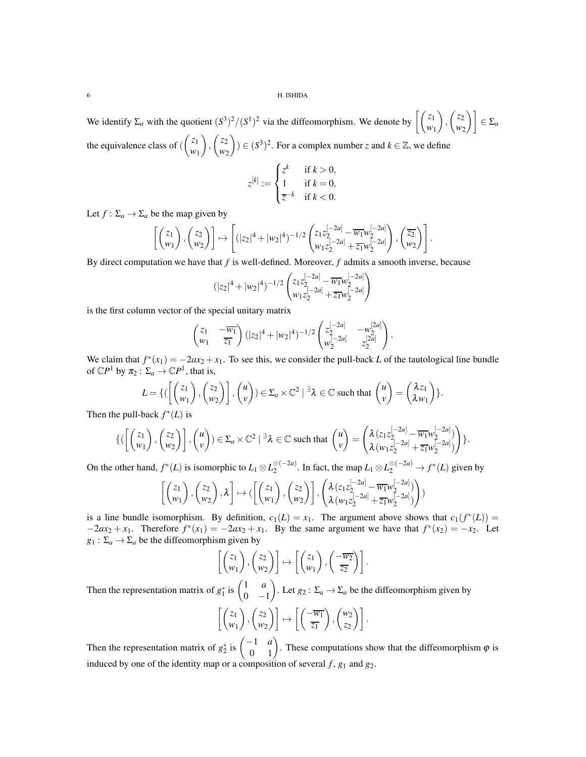We identify  $\Sigma_a$  with the quotient  $(S^3)^2/(S^1)^2$  via the diffeomorphism. We denote by  $\left[ \binom{z_1}{w_1} \right]$  $\setminus$ ,  $\int z_2$  $\begin{bmatrix} z_2 \\ w_2 \end{bmatrix}$   $\in \Sigma_a$ the equivalence class of (  $\sqrt{z_1}$ *w*1  $\overline{\phantom{0}}$ ,  $\int z_2$ *w*2  $\overline{\phantom{0}}$ ) ∈  $(S^3)^2$ . For a complex number *z* and  $k \in \mathbb{Z}$ , we define

$$
z^{[k]} := \begin{cases} z^k & \text{if } k > 0, \\ 1 & \text{if } k = 0, \\ \overline{z}^{-k} & \text{if } k < 0. \end{cases}
$$

Let  $f : \Sigma_a \to \Sigma_a$  be the map given by

$$
\left[ \begin{pmatrix} z_1 \\ w_1 \end{pmatrix}, \begin{pmatrix} z_2 \\ w_2 \end{pmatrix} \right] \mapsto \left[ (|z_2|^4 + |w_2|^4)^{-1/2} \begin{pmatrix} z_1 z_2^{[-2a]} - \overline{w_1} w_2^{[-2a]} \\ w_1 z_2^{[-2a]} + \overline{z_1} w_2^{[-2a]} \end{pmatrix}, \begin{pmatrix} \overline{z_2} \\ w_2 \end{pmatrix} \right].
$$

By direct computation we have that *f* is well-defined. Moreover, *f* admits a smooth inverse, because

$$
(|z_2|^4 + |w_2|^4)^{-1/2} \left( \zeta_1 z_2^{[-2a]} - \overline{w_1} w_2^{[-2a]} \right) \n w_1 z_2^{[-2a]} + \overline{z_1} w_2^{[-2a]} \right)
$$

is the first column vector of the special unitary matrix

$$
\begin{pmatrix} z_1 & -\overline{w_1} \\ w_1 & \overline{z_1} \end{pmatrix} (|z_2|^4 + |w_2|^4)^{-1/2} \begin{pmatrix} z_2^{[-2a]} & -w_2^{[2a]} \\ w_2^{[-2a]} & z_2^{[2a]} \end{pmatrix}.
$$

We claim that  $f^*(x_1) = -2ax_2 + x_1$ . To see this, we consider the pull-back *L* of the tautological line bundle of  $\mathbb{C}P^1$  by  $\pi_2 : \Sigma_a \to \mathbb{C}P^1$ , that is,

$$
L = \{ (\left[ \begin{pmatrix} z_1 \\ w_1 \end{pmatrix}, \begin{pmatrix} z_2 \\ w_2 \end{pmatrix} \right], \begin{pmatrix} u \\ v \end{pmatrix}) \in \Sigma_a \times \mathbb{C}^2 \mid \exists \lambda \in \mathbb{C} \text{ such that } \begin{pmatrix} u \\ v \end{pmatrix} = \begin{pmatrix} \lambda z_1 \\ \lambda w_1 \end{pmatrix} \}.
$$

Then the pull-back  $f^*(L)$  is

$$
\{ (\begin{bmatrix} z_1 \\ w_1 \end{bmatrix}, \begin{pmatrix} z_2 \\ w_2 \end{pmatrix} \right], \begin{pmatrix} u \\ v \end{pmatrix}) \in \Sigma_a \times \mathbb{C}^2 \mid \exists \lambda \in \mathbb{C} \text{ such that } \begin{pmatrix} u \\ v \end{pmatrix} = \begin{pmatrix} \lambda (z_1 z_2^{[-2a]} - \overline{w_1} w_2^{[-2a]}) \\ \lambda (w_1 z_2^{[-2a]} + \overline{z_1} w_2^{[-2a]}) \end{pmatrix} \}.
$$

On the other hand,  $f^*(L)$  is isomorphic to  $L_1 \otimes L_2^{\otimes (-2a)}$ ⊗<sup>(-2*a*)</sup>. In fact, the map  $L_1 \otimes L_2^{\otimes (-2a)} \rightarrow f^*(L)$  given by

$$
\left[\begin{pmatrix} z_1 \\ w_1 \end{pmatrix}, \begin{pmatrix} z_2 \\ w_2 \end{pmatrix}, \lambda\right] \mapsto (\left[\begin{pmatrix} z_1 \\ w_1 \end{pmatrix}, \begin{pmatrix} z_2 \\ w_2 \end{pmatrix}\right], \begin{pmatrix} \lambda \left(z_1 z_2^{[-2a]} - \overline{w_1} w_2^{[-2a]}\right) \\ \lambda \left(w_1 z_2^{[-2a]} + \overline{z_1} w_2^{[-2a]}\right) \end{pmatrix})
$$

is a line bundle isomorphism. By definition,  $c_1(L) = x_1$ . The argument above shows that  $c_1(f^*(L)) =$  $-2ax_2 + x_1$ . Therefore  $f^*(x_1) = -2ax_2 + x_1$ . By the same argument we have that  $f^*(x_2) = -x_2$ . Let  $g_1$ :  $\Sigma_a \rightarrow \Sigma_a$  be the diffeomorphism given by

$$
\begin{bmatrix} z_1 \\ w_1 \end{bmatrix}, \begin{bmatrix} z_2 \\ w_2 \end{bmatrix} \rightarrow \begin{bmatrix} z_1 \\ w_1 \end{bmatrix}, \begin{bmatrix} -\overline{w_2} \\ \overline{z_2} \end{bmatrix}.
$$

Then the representation matrix of  $g_1^*$  is  $\begin{pmatrix} 1 & a \\ 0 & -1 \end{pmatrix}$  $0 -1$ . Let  $g_2: \Sigma_a \to \Sigma_a$  be the diffeomorphism given by

$$
\left[\begin{pmatrix} z_1 \\ w_1 \end{pmatrix}, \begin{pmatrix} z_2 \\ w_2 \end{pmatrix} \right] \mapsto \left[\begin{pmatrix} -\overline{w_1} \\ \overline{z_1} \end{pmatrix}, \begin{pmatrix} w_2 \\ z_2 \end{pmatrix} \right].
$$

Then the representation matrix of  $g_2^*$  is  $\begin{pmatrix} -1 & a \\ 0 & 1 \end{pmatrix}$ . These computations show that the diffeomorphism  $\varphi$  is induced by one of the identity map or a composition of several  $f$ ,  $g_1$  and  $g_2$ .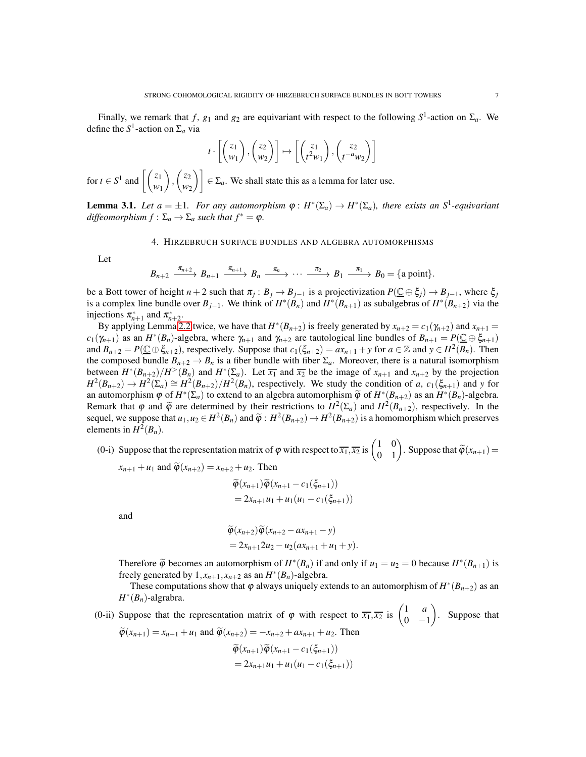$$
t \cdot \left[ \begin{pmatrix} z_1 \\ w_1 \end{pmatrix}, \begin{pmatrix} z_2 \\ w_2 \end{pmatrix} \right] \mapsto \left[ \begin{pmatrix} z_1 \\ t^2 w_1 \end{pmatrix}, \begin{pmatrix} z_2 \\ t^{-a} w_2 \end{pmatrix} \right]
$$

for *t*  $\in S^1$  and  $\left[ \begin{pmatrix} z_1 \\ w_1 \end{pmatrix} \right]$  $\overline{\phantom{0}}$ ,  $\int z_2$  $\begin{bmatrix} z_2 \\ w_2 \end{bmatrix}$   $\in$   $\Sigma_a$ . We shall state this as a lemma for later use.

<span id="page-6-1"></span><span id="page-6-0"></span>**Lemma 3.1.** Let  $a = \pm 1$ . For any automorphism  $\varphi : H^*(\Sigma_a) \to H^*(\Sigma_a)$ , there exists an  $S^1$ -equivariant *diffeomorphism*  $f : \Sigma_a \to \Sigma_a$  *such that*  $f^* = \varphi$ *.* 

# 4. HIRZEBRUCH SURFACE BUNDLES AND ALGEBRA AUTOMORPHISMS

Let

$$
B_{n+2} \xrightarrow{\pi_{n+2}} B_{n+1} \xrightarrow{\pi_{n+1}} B_n \xrightarrow{\pi_n} \cdots \xrightarrow{\pi_2} B_1 \xrightarrow{\pi_1} B_0 = \{a \text{ point}\}.
$$

be a Bott tower of height  $n+2$  such that  $\pi_j: B_j \to B_{j-1}$  is a projectivization  $P(\underline{\mathbb{C}} \oplus \xi_j) \to B_{j-1}$ , where  $\xi_j$ is a complex line bundle over  $B_{j-1}$ . We think of  $H^*(B_n)$  and  $H^*(B_{n+1})$  as subalgebras of  $H^*(B_{n+2})$  via the injections  $\pi_{n+1}^*$  and  $\pi_{n+2}^*$ .

By applying Lemma [2.2](#page-1-2) twice, we have that  $H^*(B_{n+2})$  is freely generated by  $x_{n+2} = c_1(\gamma_{n+2})$  and  $x_{n+1} = c_2(\gamma_{n+1})$  $c_1(\gamma_{n+1})$  as an  $H^*(B_n)$ -algebra, where  $\gamma_{n+1}$  and  $\gamma_{n+2}$  are tautological line bundles of  $B_{n+1} = P(\underline{C} \oplus \xi_{n+1})$ and  $B_{n+2} = P(\underline{C} \oplus \xi_{n+2})$ , respectively. Suppose that  $c_1(\xi_{n+2}) = ax_{n+1} + y$  for  $a \in \mathbb{Z}$  and  $y \in H^2(B_n)$ . Then the composed bundle  $B_{n+2} \to B_n$  is a fiber bundle with fiber  $\Sigma_a$ . Moreover, there is a natural isomorphism between  $H^*(B_{n+2})/H^>(B_n)$  and  $H^*(\Sigma_a)$ . Let  $\overline{x_1}$  and  $\overline{x_2}$  be the image of  $x_{n+1}$  and  $x_{n+2}$  by the projection  $H^2(B_{n+2}) \to H^2(\Sigma_a) \cong H^2(B_{n+2})/H^2(B_n)$ , respectively. We study the condition of *a*,  $c_1(\xi_{n+1})$  and *y* for an automorphism  $\varphi$  of  $H^*(\Sigma_a)$  to extend to an algebra automorphism  $\widetilde{\varphi}$  of  $H^*(B_{n+2})$  as an  $H^*(B_n)$ -algebra. Remark that  $\varphi$  and  $\widetilde{\varphi}$  are determined by their restrictions to  $H^2(\Sigma_a)$  and  $H^2(B_{n+2})$ , respectively. In the sequel, we suppose that  $u_1, u_2 \in H^2(B_n)$  and  $\widetilde{\varphi}: H^2(B_{n+2}) \to H^2(B_{n+2})$  is a homomorphism which preserves elements in  $H^2(B_n)$ .

(0-i) Suppose that the representation matrix of  $\varphi$  with respect to  $\overline{x_1}, \overline{x_2}$  is  $\begin{pmatrix} 1 & 0 \\ 0 & 1 \end{pmatrix}$ . Suppose that  $\widetilde{\varphi}(x_{n+1}) =$  $x_{n+1} + u_1$  and  $\widetilde{\varphi}(x_{n+2}) = x_{n+2} + u_2$ . Then

$$
\widetilde{\varphi}(x_{n+1})\widetilde{\varphi}(x_{n+1}-c_1(\xi_{n+1}))
$$
  
= 2x<sub>n+1</sub>u<sub>1</sub> + u<sub>1</sub>(u<sub>1</sub> - c<sub>1</sub>(\xi<sub>n+1</sub>))

and

$$
\widetilde{\varphi}(x_{n+2})\widetilde{\varphi}(x_{n+2}-ax_{n+1}-y)
$$
  
=  $2x_{n+1}2u_2-u_2(ax_{n+1}+u_1+y).$ 

Therefore  $\widetilde{\varphi}$  becomes an automorphism of  $H^*(B_n)$  if and only if  $u_1 = u_2 = 0$  because  $H^*(B_{n+1})$  is freely generated by  $1, x_{n+1}, x_{n+2}$  as an  $H^*(B_n)$ -algebra.

These computations show that  $\varphi$  always uniquely extends to an automorphism of  $H^*(B_{n+2})$  as an *H* ∗ (*Bn*)-algrabra.

(0-ii) Suppose that the representation matrix of  $\varphi$  with respect to  $\overline{x_1}, \overline{x_2}$  is  $\begin{pmatrix} 1 & a \\ 0 & 1 \end{pmatrix}$  $0 -1$  $\setminus$ . Suppose that

$$
\widetilde{\varphi}(x_{n+1}) = x_{n+1} + u_1 \text{ and } \widetilde{\varphi}(x_{n+2}) = -x_{n+2} + ax_{n+1} + u_2. \text{ Then}
$$

$$
\widetilde{\varphi}(x_{n+1})\widetilde{\varphi}(x_{n+1} - c_1(\xi_{n+1}))
$$

$$
= 2x_{n+1}u_1 + u_1(u_1 - c_1(\xi_{n+1}))
$$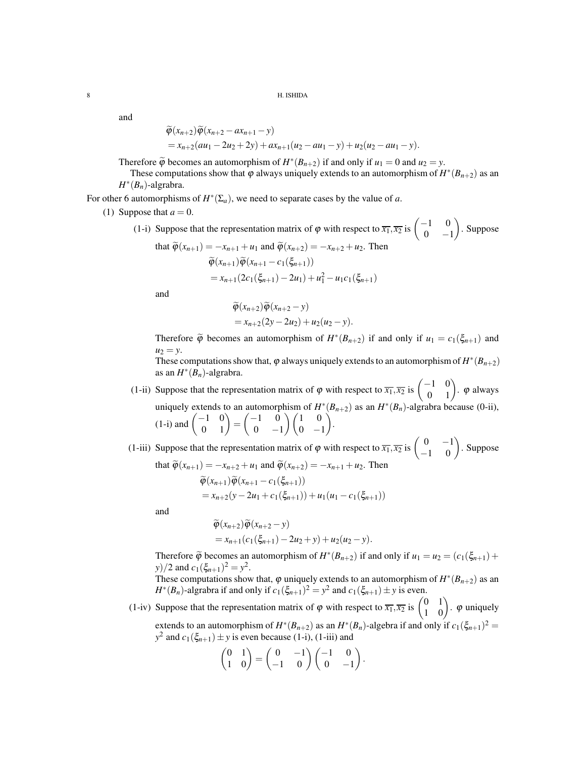and

$$
\widetilde{\varphi}(x_{n+2})\widetilde{\varphi}(x_{n+2}-ax_{n+1}-y) = x_{n+2}(au_1-2u_2+2y)+ax_{n+1}(u_2-au_1-y)+u_2(u_2-au_1-y).
$$

Therefore  $\widetilde{\varphi}$  becomes an automorphism of  $H^*(B_{n+2})$  if and only if  $u_1 = 0$  and  $u_2 = y$ .

These computations show that  $\varphi$  always uniquely extends to an automorphism of  $H^*(B_{n+2})$  as an *H* ∗ (*Bn*)-algrabra.

For other 6 automorphisms of  $H^*(\Sigma_a)$ , we need to separate cases by the value of *a*.

(1) Suppose that  $a = 0$ .

(1-i) Suppose that the representation matrix of  $\varphi$  with respect to  $\overline{x_1}, \overline{x_2}$  is  $\begin{pmatrix} -1 & 0 \\ 0 & 0 \end{pmatrix}$  $0 -1$  $\overline{ }$ . Suppose that  $\widetilde{\varphi}(x_{n+1}) = -x_{n+1} + u_1$  and  $\widetilde{\varphi}(x_{n+2}) = -x_{n+2} + u_2$ . Then

$$
\widetilde{\varphi}(x_{n+1}) \widetilde{\varphi}(x_{n+1} - c_1(\xi_{n+1}))
$$
\n
$$
= x_{n+1} (2c_1(\xi_{n+1}) - 2u_1) + u_1^2 - u_1 c_1(\xi_{n+1})
$$

and

$$
\widetilde{\varphi}(x_{n+2})\widetilde{\varphi}(x_{n+2}-y)
$$
  
=  $x_{n+2}(2y-2u_2)+u_2(u_2-y)$ .

Therefore  $\tilde{\varphi}$  becomes an automorphism of  $H^*(B_{n+2})$  if and only if  $u_1 = c_1(\xi_{n+1})$  and  $u_2 = y$ .

These computations show that,  $\varphi$  always uniquely extends to an automorphism of  $H^*(B_{n+2})$ as an  $H^*(B_n)$ -algrabra.

- (1-ii) Suppose that the representation matrix of  $\varphi$  with respect to  $\overline{x_1}, \overline{x_2}$  is  $\begin{pmatrix} -1 & 0 \\ 0 & 1 \end{pmatrix}$ .  $\varphi$  always uniquely extends to an automorphism of  $H^*(B_{n+2})$  as an  $H^*(B_n)$ -algrabra because (0-ii), (1-i) and  $\begin{pmatrix} -1 & 0 \\ 0 & 1 \end{pmatrix}$  =  $(-1)$  0  $0 -1$  $\bigwedge$   $(1 \ 0$  $0 -1$ Ý. .
- (1-iii) Suppose that the representation matrix of  $\varphi$  with respect to  $\overline{x_1}, \overline{x_2}$  is  $\begin{pmatrix} 0 & -1 \\ -1 & 0 \end{pmatrix}$ . Suppose that  $\widetilde{\varphi}(x_{n+1}) = -x_{n+2} + u_1$  and  $\widetilde{\varphi}(x_{n+2}) = -x_{n+1} + u_2$ . Then

$$
\widetilde{\varphi}(x_{n+1}) = x_{n+2} \cdot \widetilde{\varphi}(x_{n+1} - c_1(\xi_{n+1}))
$$
\n
$$
= x_{n+2}(y - 2u_1 + c_1(\xi_{n+1})) + u_1(u_1 - c_1(\xi_{n+1}))
$$

and

$$
\widetilde{\varphi}(x_{n+2})\widetilde{\varphi}(x_{n+2}-y) = x_{n+1}(c_1(\xi_{n+1}) - 2u_2 + y) + u_2(u_2 - y).
$$

Therefore  $\widetilde{\varphi}$  becomes an automorphism of  $H^*(B_{n+2})$  if and only if  $u_1 = u_2 = (c_1(\xi_{n+1}) + \xi_2 \xi_{n+1})$ *y*)/2 and  $c_1(\xi_{n+1})^2 = y^2$ .

These computations show that,  $\varphi$  uniquely extends to an automorphism of  $H^*(B_{n+2})$  as an  $H^*(B_n)$ -algrabra if and only if  $c_1(\xi_{n+1})^2 = y^2$  and  $c_1(\xi_{n+1}) \pm y$  is even.

(1-iv) Suppose that the representation matrix of  $\varphi$  with respect to  $\overline{x_1}, \overline{x_2}$  is  $\begin{pmatrix} 0 & 1 \\ 1 & 0 \end{pmatrix}$ .  $\varphi$  uniquely extends to an automorphism of  $H^*(B_{n+2})$  as an  $H^*(B_n)$ -algebra if and only if  $c_1(\xi_{n+1})^2 =$  $y^2$  and  $c_1(\xi_{n+1}) \pm y$  is even because (1-i), (1-iii) and

$$
\begin{pmatrix} 0 & 1 \\ 1 & 0 \end{pmatrix} = \begin{pmatrix} 0 & -1 \\ -1 & 0 \end{pmatrix} \begin{pmatrix} -1 & 0 \\ 0 & -1 \end{pmatrix}.
$$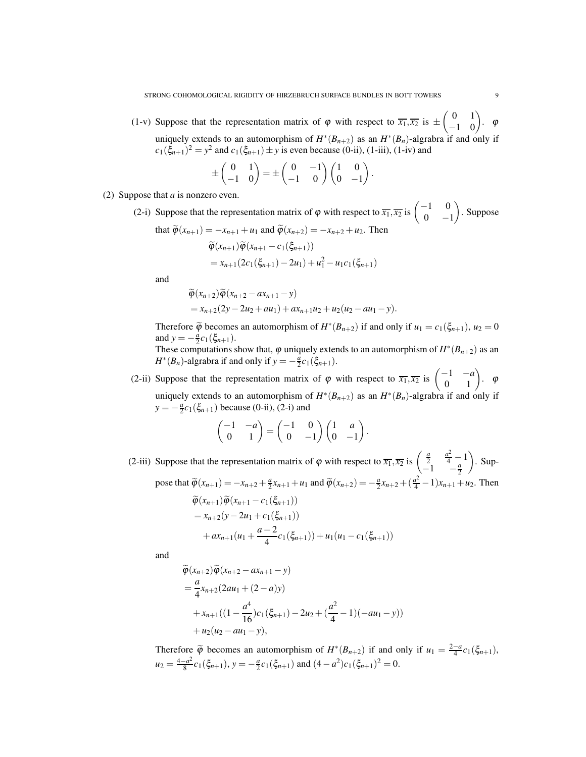(1-v) Suppose that the representation matrix of  $\varphi$  with respect to  $\overline{x_1}, \overline{x_2}$  is  $\pm$  $\begin{pmatrix} 0 & 1 \\ -1 & 0 \end{pmatrix}$ .  $\varphi$ uniquely extends to an automorphism of  $H^*(B_{n+2})$  as an  $H^*(B_n)$ -algrabra if and only if  $c_1(\xi_{n+1})^2 = y^2$  and  $c_1(\xi_{n+1}) \pm y$  is even because (0-ii), (1-iii), (1-iv) and

$$
\pm \begin{pmatrix} 0 & 1 \\ -1 & 0 \end{pmatrix} = \pm \begin{pmatrix} 0 & -1 \\ -1 & 0 \end{pmatrix} \begin{pmatrix} 1 & 0 \\ 0 & -1 \end{pmatrix}.
$$

- (2) Suppose that *a* is nonzero even.
	- (2-i) Suppose that the representation matrix of  $\varphi$  with respect to  $\overline{x_1}, \overline{x_2}$  is  $\begin{pmatrix} -1 & 0 \\ 0 & -1 \end{pmatrix}$  $0 -1$  $\overline{ }$ . Suppose that  $\widetilde{\omega}(x_{n+1}) = -x_{n+1} + u_1$  and  $\widetilde{\omega}(x_{n+2}) = -x_{n+2} + u_2$ . Then

$$
\tilde{\varphi}(x_{n+1}) = -x_{n+1} + u_1 \text{ and } \varphi(x_{n+2}) = -x_{n+2} + u_2. \text{ Then}
$$
\n
$$
\tilde{\varphi}(x_{n+1})\tilde{\varphi}(x_{n+1} - c_1(\xi_{n+1}))
$$
\n
$$
= x_{n+1}(2c_1(\xi_{n+1}) - 2u_1) + u_1^2 - u_1c_1(\xi_{n+1})
$$

and

$$
\begin{aligned} \widetilde{\varphi}(x_{n+2}) \widetilde{\varphi}(x_{n+2} - a x_{n+1} - y) \\ &= x_{n+2} (2y - 2u_2 + au_1) + a x_{n+1} u_2 + u_2 (u_2 - au_1 - y). \end{aligned}
$$

Therefore  $\widetilde{\varphi}$  becomes an automorphism of  $H^*(B_{n+2})$  if and only if  $u_1 = c_1(\xi_{n+1}), u_2 = 0$ and  $y = -\frac{a}{2}c_1(\xi_{n+1})$ .

These computations show that,  $\varphi$  uniquely extends to an automorphism of  $H^*(B_{n+2})$  as an  $H^*(B_n)$ -algrabra if and only if  $y = -\frac{a}{2}c_1(\xi_{n+1})$ .

(2-ii) Suppose that the representation matrix of  $\varphi$  with respect to  $\overline{x_1}, \overline{x_2}$  is  $\begin{pmatrix} -1 & -a \\ 0 & 1 \end{pmatrix}$ .  $\varphi$ uniquely extends to an automorphism of  $H^*(B_{n+2})$  as an  $H^*(B_n)$ -algrabra if and only if  $y = -\frac{a}{2}c_1(\xi_{n+1})$  because (0-ii), (2-i) and

$$
\begin{pmatrix} -1 & -a \\ 0 & 1 \end{pmatrix} = \begin{pmatrix} -1 & 0 \\ 0 & -1 \end{pmatrix} \begin{pmatrix} 1 & a \\ 0 & -1 \end{pmatrix}.
$$

(2-iii) Suppose that the representation matrix of  $\varphi$  with respect to  $\overline{x_1}, \overline{x_2}$  is  $\begin{pmatrix} \frac{a}{2} & \frac{a^2}{4} - 1 \\ 1 & a \end{pmatrix}$  $\frac{1}{-1}$   $\frac{a}{2}$  $\overline{\phantom{0}}$ . Suppose that  $\tilde{\varphi}(x_{n+1}) = -x_{n+2} + \frac{a}{2}x_{n+1} + u_1$  and  $\tilde{\varphi}(x_{n+2}) = -\frac{a}{2}x_{n+2} + (\frac{a^2}{4} - 1)x_{n+1} + u_2$ . Then  $\widetilde{\varphi}(x_{n+1})\widetilde{\varphi}(x_{n+1}-c_1(\xi_{n+1}))$  $= x_{n+2}(y - 2u_1 + c_1(\xi_{n+1}))$  $+ ax_{n+1}(u_1 + \frac{a-2}{4})$  $\frac{1}{4}c_1(\xi_{n+1}) + u_1(u_1 - c_1(\xi_{n+1}))$ 

and

$$
\tilde{\varphi}(x_{n+2})\tilde{\varphi}(x_{n+2} - ax_{n+1} - y)
$$
\n
$$
= \frac{a}{4}x_{n+2}(2au_1 + (2-a)y)
$$
\n
$$
+ x_{n+1}((1 - \frac{a^4}{16})c_1(\xi_{n+1}) - 2u_2 + (\frac{a^2}{4} - 1)(-au_1 - y))
$$
\n
$$
+ u_2(u_2 - au_1 - y),
$$

Therefore  $\widetilde{\varphi}$  becomes an automorphism of  $H^*(B_{n+2})$  if and only if  $u_1 = \frac{2-a}{4}c_1(\xi_{n+1}),$  $u_2 = \frac{4-a^2}{8}$  $\frac{a^2}{8}c_1(\xi_{n+1}), y = -\frac{a}{2}c_1(\xi_{n+1})$  and  $(4-a^2)c_1(\xi_{n+1})^2 = 0$ .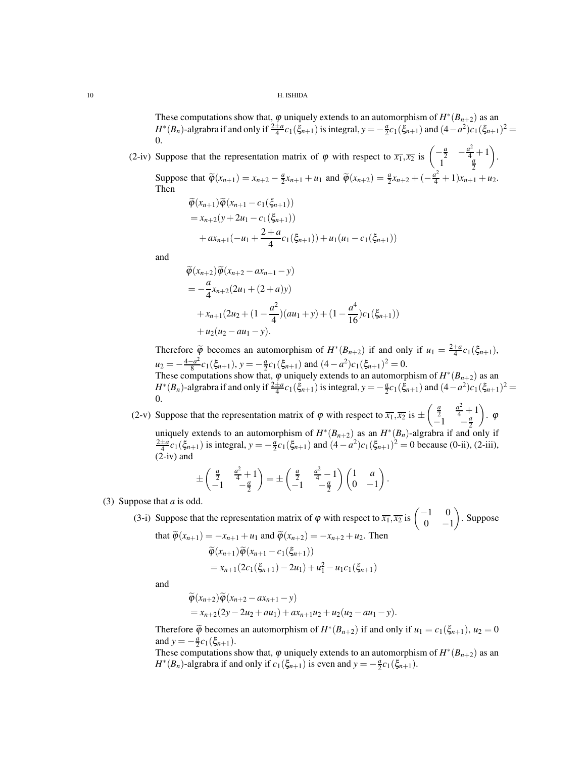These computations show that,  $\varphi$  uniquely extends to an automorphism of  $H^*(B_{n+2})$  as an  $H^*(B_n)$ -algrabra if and only if  $\frac{2\pm a}{4}c_1(\xi_{n+1})$  is integral,  $y = -\frac{a}{2}c_1(\xi_{n+1})$  and  $(4-a^2)c_1(\xi_{n+1})^2 =$ 0.

(2-iv) Suppose that the representation matrix of  $\varphi$  with respect to  $\overline{x_1}, \overline{x_2}$  is  $\begin{pmatrix} -\frac{a}{2} & -\frac{a^2}{4} + 1 \\ 0 & a \end{pmatrix}$  $1^{\frac{a}{2}}$  $\overline{\phantom{0}}$ .

Suppose that  $\tilde{\varphi}(x_{n+1}) = x_{n+2} - \frac{a}{2}x_{n+1} + u_1$  and  $\tilde{\varphi}(x_{n+2}) = \frac{a}{2}x_{n+2} + (-\frac{a^2}{4} + 1)x_{n+1} + u_2$ . Then

$$
\widetilde{\varphi}(x_{n+1})\widetilde{\varphi}(x_{n+1} - c_1(\xi_{n+1}))
$$
  
=  $x_{n+2}(y + 2u_1 - c_1(\xi_{n+1}))$   
+  $ax_{n+1}(-u_1 + \frac{2+a}{4}c_1(\xi_{n+1})) + u_1(u_1 - c_1(\xi_{n+1}))$ 

and

$$
\widetilde{\varphi}(x_{n+2})\widetilde{\varphi}(x_{n+2} - ax_{n+1} - y)
$$
\n
$$
= -\frac{a}{4}x_{n+2}(2u_1 + (2+a)y)
$$
\n
$$
+ x_{n+1}(2u_2 + (1 - \frac{a^2}{4})(au_1 + y) + (1 - \frac{a^4}{16})c_1(\xi_{n+1}))
$$
\n
$$
+ u_2(u_2 - au_1 - y).
$$

Therefore  $\widetilde{\varphi}$  becomes an automorphism of  $H^*(B_{n+2})$  if and only if  $u_1 = \frac{2+a}{4}c_1(\xi_{n+1}),$  $u_2 = -\frac{4-a^2}{8}$  $\frac{a^2}{8}c_1(\xi_{n+1}), y = -\frac{a}{2}c_1(\xi_{n+1})$  and  $(4-a^2)c_1(\xi_{n+1})^2 = 0$ . These computations show that,  $\varphi$  uniquely extends to an automorphism of  $H^*(B_{n+2})$  as an *H*<sup>\*</sup>(*B<sub>n</sub>*)-algrabra if and only if  $\frac{2\pm a}{4}c_1(\xi_{n+1})$  is integral,  $y = -\frac{a}{2}c_1(\xi_{n+1})$  and  $(4-a^2)c_1(\xi_{n+1})^2 =$ 0.

(2-v) Suppose that the representation matrix of  $\varphi$  with respect to  $\overline{x_1}, \overline{x_2}$  is  $\pm$  $\begin{pmatrix} \frac{a}{2} & \frac{a^2}{4} + 1 \end{pmatrix}$  $-1$   $\frac{a}{2}$ uniquely extends to an automorphism of  $H^*(B_{n+2})$  as an  $H^*(B_n)$ -algrabra if and only if  $\frac{2\pm a}{4}c_1(\xi_{n+1})$  is integral,  $y = -\frac{a}{2}c_1(\xi_{n+1})$  and  $(4-a^2)c_1(\xi_{n+1})^2 = 0$  because (0-ii), (2-iii),  $\setminus$ . ϕ (2-iv) and

$$
\pm \begin{pmatrix} \frac{a}{2} & \frac{a^2}{4} + 1 \\ -1 & -\frac{a}{2} \end{pmatrix} = \pm \begin{pmatrix} \frac{a}{2} & \frac{a^2}{4} - 1 \\ -1 & -\frac{a}{2} \end{pmatrix} \begin{pmatrix} 1 & a \\ 0 & -1 \end{pmatrix}.
$$

(3) Suppose that *a* is odd.

(3-i) Suppose that the representation matrix of  $\varphi$  with respect to  $\overline{x_1}, \overline{x_2}$  is  $\begin{pmatrix} -1 & 0 \\ 0 & 0 \end{pmatrix}$  $0 -1$  $\overline{ }$ . Suppose

that 
$$
\widetilde{\varphi}(x_{n+1}) = -x_{n+1} + u_1
$$
 and  $\widetilde{\varphi}(x_{n+2}) = -x_{n+2} + u_2$ . Then  
\n
$$
\widetilde{\varphi}(x_{n+1}) \widetilde{\varphi}(x_{n+1} - c_1(\xi_{n+1}))
$$
\n
$$
= x_{n+1} (2c_1(\xi_{n+1}) - 2u_1) + u_1^2 - u_1 c_1(\xi_{n+1})
$$

and

$$
\widetilde{\varphi}(x_{n+2})\widetilde{\varphi}(x_{n+2} - ax_{n+1} - y)
$$
  
=  $x_{n+2}(2y - 2u_2 + au_1) + ax_{n+1}u_2 + u_2(u_2 - au_1 - y).$ 

Therefore  $\widetilde{\varphi}$  becomes an automorphism of  $H^*(B_{n+2})$  if and only if  $u_1 = c_1(\xi_{n+1}), u_2 = 0$ and  $y = -\frac{a}{2}c_1(\xi_{n+1})$ .

These computations show that,  $\varphi$  uniquely extends to an automorphism of  $H^*(B_{n+2})$  as an *H*<sup>\*</sup>(*B<sub>n</sub>*)-algrabra if and only if  $c_1(\xi_{n+1})$  is even and  $y = -\frac{a}{2}c_1(\xi_{n+1})$ .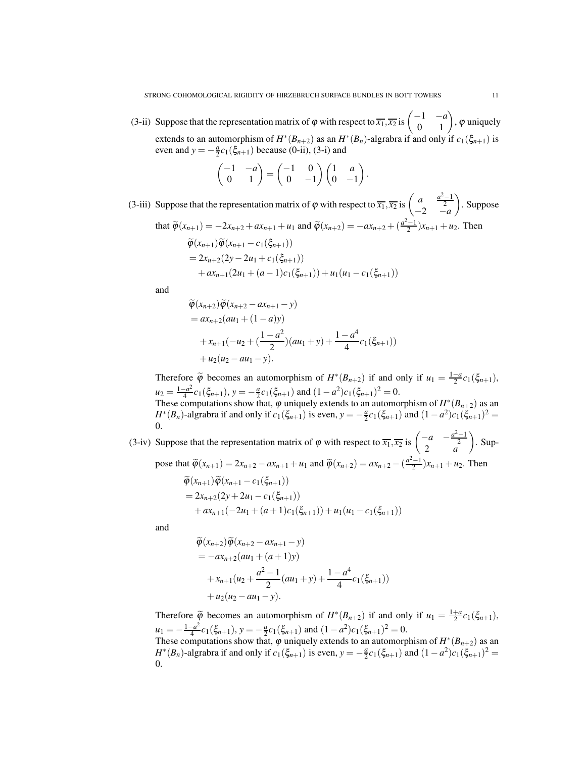(3-ii) Suppose that the representation matrix of  $\varphi$  with respect to  $\overline{x_1}, \overline{x_2}$  is  $\begin{pmatrix} -1 & -a \\ 0 & 1 \end{pmatrix}$ ,  $\varphi$  uniquely extends to an automorphism of  $H^*(B_{n+2})$  as an  $H^*(B_n)$ -algrabra if and only if  $c_1(\xi_{n+1})$  is even and  $y = -\frac{a}{2}c_1(\xi_{n+1})$  because (0-ii), (3-i) and

$$
\begin{pmatrix} -1 & -a \\ 0 & 1 \end{pmatrix} = \begin{pmatrix} -1 & 0 \\ 0 & -1 \end{pmatrix} \begin{pmatrix} 1 & a \\ 0 & -1 \end{pmatrix}.
$$

(3-iii) Suppose that the representation matrix of  $\varphi$  with respect to  $\overline{x_1}, \overline{x_2}$  is  $\begin{pmatrix} a & \frac{a^2-1}{2} \\ -2 & -a \end{pmatrix}$  $\setminus$ . Suppose that  $\tilde{\varphi}(x_{n+1}) = -2x_{n+2} + ax_{n+1} + u_1$  and  $\tilde{\varphi}(x_{n+2}) = -ax_{n+2} + (\frac{a^2-1}{2})x_{n+1} + u_2$ . Then  $\widetilde{\varphi}(x_{n+1})\widetilde{\varphi}(x_{n+1}-c_1(\xi_{n+1}))$ 

$$
= 2x_{n+2}(2y - 2u_1 + c_1(\xi_{n+1}))
$$
  
+ ax\_{n+1}(2u\_1 + (a-1)c\_1(\xi\_{n+1})) + u\_1(u\_1 - c\_1(\xi\_{n+1}))

and

$$
\widetilde{\varphi}(x_{n+2})\widetilde{\varphi}(x_{n+2} - ax_{n+1} - y)
$$
  
=  $ax_{n+2}(au_1 + (1-a)y)$   
+  $x_{n+1}(-u_2 + (\frac{1-a^2}{2})(au_1 + y) + \frac{1-a^4}{4}c_1(\xi_{n+1}))$   
+  $u_2(u_2 - au_1 - y)$ .

Therefore  $\widetilde{\varphi}$  becomes an automorphism of  $H^*(B_{n+2})$  if and only if  $u_1 = \frac{1-a}{2}c_1(\xi_{n+1}),$  $u_2 = \frac{1-a^2}{4}$  $\frac{-a^2}{4}c_1(\xi_{n+1}), y = -\frac{a}{2}c_1(\xi_{n+1})$  and  $(1-a^2)c_1(\xi_{n+1})^2 = 0$ . These computations show that,  $\varphi$  uniquely extends to an automorphism of  $H^*(B_{n+2})$  as an *H*<sup>\*</sup>(*B<sub>n</sub>*)-algrabra if and only if  $c_1(\xi_{n+1})$  is even,  $y = -\frac{a}{2}c_1(\xi_{n+1})$  and  $(1 - a^2)c_1(\xi_{n+1})^2 =$ 0.

(3-iv) Suppose that the representation matrix of  $\varphi$  with respect to  $\overline{x_1}, \overline{x_2}$  is  $\begin{pmatrix} -a & -\frac{a^2-1}{2} \\ 2 & a \end{pmatrix}$  $\overline{\phantom{0}}$ . Sup-

pose that  $\tilde{\varphi}(x_{n+1}) = 2x_{n+2} - ax_{n+1} + u_1$  and  $\tilde{\varphi}(x_{n+2}) = ax_{n+2} - \left(\frac{a^2-1}{2}\right)x_{n+1} + u_2$ . Then

$$
\widetilde{\varphi}(x_{n+1})\widetilde{\varphi}(x_{n+1} - c_1(\xi_{n+1}))
$$
  
= 2x<sub>n+2</sub>(2y + 2u<sub>1</sub> - c<sub>1</sub>(\xi<sub>n+1</sub>))  
+ ax<sub>n+1</sub>(-2u<sub>1</sub> + (a+1)c<sub>1</sub>(\xi<sub>n+1</sub>)) + u<sub>1</sub>(u<sub>1</sub> - c<sub>1</sub>(\xi<sub>n+1</sub>))

and

$$
\widetilde{\varphi}(x_{n+2})\widetilde{\varphi}(x_{n+2} - ax_{n+1} - y)
$$
  
=  $-ax_{n+2}(au_1 + (a+1)y)$   
+  $x_{n+1}(u_2 + \frac{a^2 - 1}{2}(au_1 + y) + \frac{1 - a^4}{4}c_1(\xi_{n+1}))$   
+  $u_2(u_2 - au_1 - y)$ .

Therefore  $\widetilde{\varphi}$  becomes an automorphism of  $H^*(B_{n+2})$  if and only if  $u_1 = \frac{1+a}{2}c_1(\xi_{n+1}),$  $u_1 = -\frac{1-a^2}{4}$  $\frac{-a^2}{4}c_1(\xi_{n+1}), y = -\frac{a}{2}c_1(\xi_{n+1})$  and  $(1-a^2)c_1(\xi_{n+1})^2 = 0$ . These computations show that,  $\varphi$  uniquely extends to an automorphism of  $H^*(B_{n+2})$  as an *H*<sup>\*</sup>(*B<sub>n</sub>*)-algrabra if and only if  $c_1(\xi_{n+1})$  is even,  $y = -\frac{a}{2}c_1(\xi_{n+1})$  and  $(1 - a^2)c_1(\xi_{n+1})^2 =$ 0.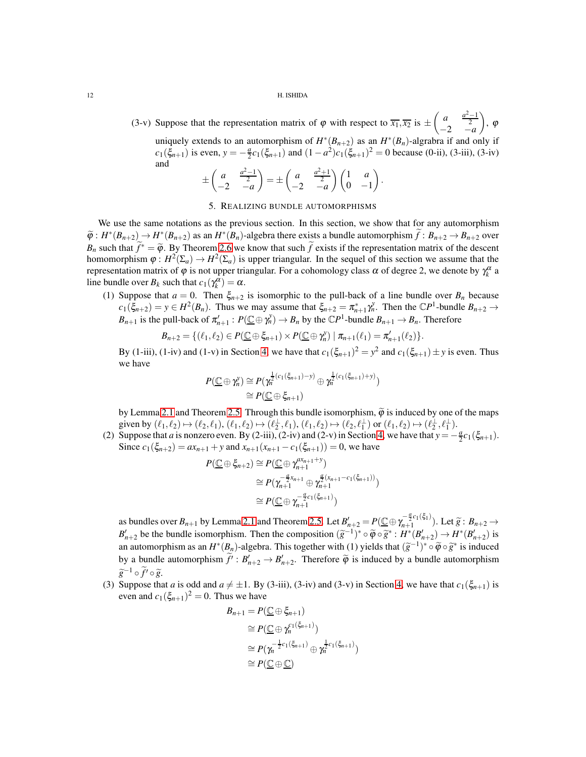(3-v) Suppose that the representation matrix of  $\varphi$  with respect to  $\overline{x_1}, \overline{x_2}$  is  $\pm$  $\begin{pmatrix} a & \frac{a^2-1}{2} \\ -2 & -a \end{pmatrix}$  $\overline{\phantom{0}}$ , ϕ uniquely extends to an automorphism of  $H^*(B_{n+2})$  as an  $H^*(B_n)$ -algrabra if and only if  $c_1(\xi_{n+1})$  is even,  $y = -\frac{a}{2}c_1(\xi_{n+1})$  and  $(1 - a^2)c_1(\xi_{n+1})^2 = 0$  because (0-ii), (3-iii), (3-iv) and ±  $\begin{pmatrix} a & \frac{a^2-1}{2} \\ -2 & -a \end{pmatrix}$  $\setminus$  $=$  $\pm$  $\begin{pmatrix} a & \frac{a^2+1}{2} \\ -2 & -a \end{pmatrix}$  $\bigwedge$  *(1 a*  $0 -1$  $\setminus$ .

### 5. REALIZING BUNDLE AUTOMORPHISMS

<span id="page-11-0"></span>We use the same notations as the previous section. In this section, we show that for any automorphism  $\widetilde{\varphi}: H^*(B_{n+2}) \to H^*(B_{n+2})$  as an  $H^*(B_n)$ -algebra there exists a bundle automorphism  $\widetilde{f}: B_{n+2} \to B_{n+2}$  over *B<sub>n</sub>* such that  $\tilde{f}^* = \tilde{\varphi}$ . By Theorem [2.6](#page-3-2) we know that such  $\tilde{f}$  exists if the representation matrix of the descent homomorphism  $\varphi: H^2(\Sigma_a) \to H^2(\Sigma_a)$  is upper triangular. In the sequel of this section we assume that the representation matrix of  $\varphi$  is not upper triangular. For a cohomology class α of degree 2, we denote by  $\gamma_k^{\alpha}$  a line bundle over  $B_k$  such that  $c_1(\gamma_k^{\alpha}) = \alpha$ .

(1) Suppose that  $a = 0$ . Then  $\xi_{n+2}$  is isomorphic to the pull-back of a line bundle over  $B_n$  because  $c_1(\xi_{n+2}) = y \in H^2(B_n)$ . Thus we may assume that  $\xi_{n+2} = \pi_{n+1}^* \gamma_n^y$ . Then the  $\mathbb{C}P^1$ -bundle  $B_{n+2} \to$ *B*<sub>*n*+1</sub> is the pull-back of  $\pi'_{n+1}: P(\underline{\mathbb{C}} \oplus \gamma_n^y) \to B_n$  by the  $\mathbb{C}P^1$ -bundle  $B_{n+1} \to B_n$ . Therefore

$$
B_{n+2}=\{(\ell_1,\ell_2)\in P(\underline{\mathbb{C}}\oplus \xi_{n+1})\times P(\underline{\mathbb{C}}\oplus \gamma_n^y)\mid \pi_{n+1}(\ell_1)=\pi'_{n+1}(\ell_2)\}.
$$

By (1-iii), (1-iv) and (1-v) in Section [4,](#page-6-0) we have that  $c_1(\xi_{n+1})^2 = y^2$  and  $c_1(\xi_{n+1}) \pm y$  is even. Thus we have

$$
P(\underline{\mathbb{C}} \oplus \gamma_n^y) \cong P(\gamma_n^{\frac{1}{2}(c_1(\xi_{n+1})-y)} \oplus \gamma_n^{\frac{1}{2}(c_1(\xi_{n+1})+y)})
$$
  
\n
$$
\cong P(\underline{\mathbb{C}} \oplus \xi_{n+1})
$$

by Lemma [2.1](#page-1-1) and Theorem [2.5.](#page-3-1) Through this bundle isomorphism,  $\tilde{\varphi}$  is induced by one of the maps given by  $(\ell_1, \ell_2) \mapsto (\ell_2, \ell_1), (\ell_1, \ell_2) \mapsto (\ell_2^{\perp}, \ell_1), (\ell_1, \ell_2) \mapsto (\ell_2, \ell_1^{\perp})$  or  $(\ell_1, \ell_2) \mapsto (\ell_2^{\perp}, \ell_1^{\perp})$ .

(2) Suppose that *a* is nonzero even. By (2-iii), (2-iv) and (2-v) in Section [4,](#page-6-0) we have that  $y = -\frac{a}{2}c_1(\xi_{n+1})$ . Since  $c_1(\xi_{n+2}) = ax_{n+1} + y$  and  $x_{n+1}(x_{n+1} - c_1(\xi_{n+1})) = 0$ , we have

$$
P(\underline{\mathbb{C}} \oplus \xi_{n+2}) \cong P(\underline{\mathbb{C}} \oplus \gamma_{n+1}^{ax_{n+1}+y})
$$
  
\n
$$
\cong P(\gamma_{n+1}^{-\frac{a}{2}x_{n+1}} \oplus \gamma_{n+1}^{\frac{a}{2}(x_{n+1}-c_1(\xi_{n+1}))})
$$
  
\n
$$
\cong P(\underline{\mathbb{C}} \oplus \gamma_{n+1}^{-\frac{a}{2}c_1(\xi_{n+1})})
$$

as bundles over  $B_{n+1}$  by Lemma [2.1](#page-1-1) and Theorem [2.5.](#page-3-1) Let  $B'_{n+2} = P(\underline{\mathbb{C}} \oplus \gamma_{n+1}^{-\frac{a}{2}c_1(\xi_1)}$ as bundles over  $B_{n+1}$  by Lemma 2.1 and Theorem 2.5. Let  $B'_{n+2} = P(\underline{C} \oplus \gamma_{n+1}^{2(1\setminus\{1\})})$ . Let  $\widetilde{g}: B_{n+2} \to B'_{n+2}$  be the bundle isomorphism. Then the composition  $(\widetilde{g}^{-1})^* \circ \widetilde{\varphi} \circ \widetilde{g}^*: H^*(B'_{n+2})$ an automorphism as an  $H^*(B_n)$ -algebra. This together with (1) yields that  $(\tilde{g}^{-1})^* \circ \tilde{\varphi} \circ \tilde{g}^*$  is induced by a bundle automorphism  $\tilde{f}' : B'_{n+2} \to B'_{n+2}$ . Therefore  $\tilde{\varphi}$  is induced by a bundle automorphism *g*<sup>−1</sup> ◦  $\widetilde{f'}$  ◦  $\widetilde{g}$ .

(3) Suppose that *a* is odd and  $a \neq \pm 1$ . By (3-iii), (3-iv) and (3-v) in Section [4,](#page-6-0) we have that  $c_1(\xi_{n+1})$  is even and  $c_1(\xi_{n+1})^2 = 0$ . Thus we have

*<sup>n</sup>* )

$$
B_{n+1} = P(\underline{\mathbb{C}} \oplus \xi_{n+1})
$$
  
\n
$$
\cong P(\underline{\mathbb{C}} \oplus \gamma_n^{c_1(\xi_{n+1})})
$$
  
\n
$$
\cong P(\gamma_n^{-\frac{1}{2}c_1(\xi_{n+1})} \oplus \gamma_n^{\frac{1}{2}c_1(\xi_{n+1})}
$$
  
\n
$$
\cong P(\underline{\mathbb{C}} \oplus \underline{\mathbb{C}})
$$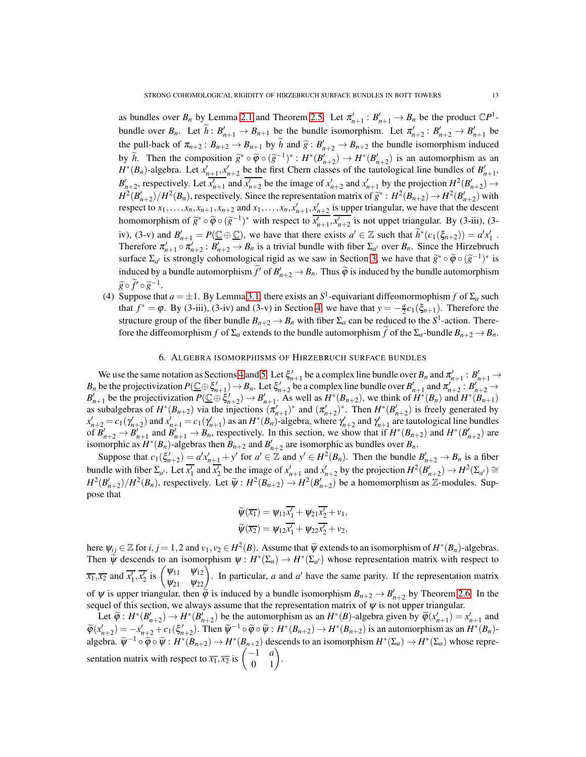as bundles over  $B_n$  by Lemma [2.1](#page-1-1) and Theorem [2.5.](#page-3-1) Let  $\pi'_{n+1}: B'_{n+1} \to B_n$  be the product  $\mathbb{C}P^1$ bundle over  $B_n$ . Let  $\tilde{h}: B'_{n+1} \to B_{n+1}$  be the bundle isomorphism. Let  $\pi'_{n+2}: B'_{n+2} \to B'_{n+1}$  be the pull-back of  $\pi_{n+2}$ :  $B_{n+2} \to B_{n+1}$  by  $\tilde{h}$  and  $\tilde{g}: B'_{n+2} \to B_{n+2}$  the bundle isomorphism induced by  $\widetilde{h}$ . Then the composition  $\widetilde{g}^* \circ \widetilde{\varphi} \circ (\widetilde{g}^{-1})^* : H^*(B'_{n+2}) \to H^*(B'_{n+2})$  is an automorphism as an  $H^*(B)$  $H^*(B_n)$ -algebra. Let  $x'_{n+1}, x'_{n+2}$  be the first Chern classes of the tautological line bundles of  $B'_{n+1}$ ,  $B'_{n+2}$ , respectively. Let  $\overline{x'_{n+1}}$  and  $\overline{x'_{n+2}}$  be the image of  $x'_{n+2}$  and  $x'_{n+1}$  by the projection  $H^2(B'_{n+2}) \to$  $H^2(B'_{n+2})/H^2(B_n)$ , respectively. Since the representation matrix of  $\tilde{g}^*: H^2(B_{n+2}) \to H^2(B'_{n+2})$  with respect to  $x_1, \ldots, x_n, x_{n+1}, x_{n+2}$  and  $x_1, \ldots, x_n, x'_{n+1}, x'_{n+2}$  is upper triangular, we have that the descent homomorphism of  $\tilde{g}^* \circ \tilde{\varphi} \circ (\tilde{g}^{-1})^*$  with respect to  $\overline{x'_{n+1}}, \overline{x'_{n+2}}$  is not uppet triangular. By (3-iii), (3iv), (3-v) and  $B'_{n+1} = P(\underline{C} \oplus \underline{C})$ , we have that there exists  $a' \in \mathbb{Z}$  such that  $\tilde{h}^*(c_1(\xi_{n+2})) = a'x'_1$ . Therefore  $\pi'_{n+1} \circ \pi'_{n+2}$ :  $B'_{n+2} \to B_n$  is a trivial bundle with fiber  $\Sigma_{a'}$  over  $B_n$ . Since the Hirzebruch surface  $\Sigma_{\alpha'}$  is strongly cohomological rigid as we saw in Section [3,](#page-3-0) we have that  $\widetilde{g}^* \circ \widetilde{\varphi} \circ (\widetilde{g}^{-1})^*$  is induced by a bundle automorphism  $\tilde{f}'$  of  $B'_{n+2} \to B_n$ . Thus  $\tilde{\varphi}$  is induced by the bundle automorphism  $\widetilde{g} \circ \widetilde{f}' \circ \widetilde{g}^{-1}.$ 

(4) Suppose that  $a = \pm 1$ . By Lemma [3.1,](#page-6-1) there exists an  $S^1$ -equivariant diffeomormophism  $f$  of  $\Sigma_a$  such that  $f^* = \varphi$ . By (3-iii), (3-iv) and (3-v) in Section [4,](#page-6-0) we have that  $y = -\frac{a}{2}c_1(\xi_{n+1})$ . Therefore the structure group of the fiber bundle  $B_{n+2} \to B_n$  with fiber  $\Sigma_a$  can be reduced to the  $S^1$ -action. Therefore the diffeomorphism *f* of  $\Sigma_a$  extends to the bundle automorphism *f* of the  $\Sigma_a$ -bundle  $B_{n+2} \to B_n$ .

# 6. ALGEBRA ISOMORPHISMS OF HIRZEBRUCH SURFACE BUNDLES

<span id="page-12-0"></span>We use the same notation as Sections [4](#page-6-0) and [5.](#page-11-0) Let  $\xi'_{n+1}$  be a complex line bundle over  $B_n$  and  $\pi'_{n+1}: B'_{n+1} \to B'_{n+1}$ *B*<sub>*n*</sub> be the projectivization  $P(\underline{\mathbb{C}} \oplus \xi'_{n+1}) \to B_n$ . Let  $\xi'_{n+2}$  be a complex line bundle over  $B'_{n+1}$  and  $\pi'_{n+2} : B'_{n+2} \to B_n$  $B'_{n+1}$  be the projectivization  $P(\underline{C} \oplus \xi'_{n+2}) \to B'_{n+1}$ . As well as  $H^*(B_{n+2})$ , we think of  $H^*(B_n)$  and  $H^*(B_{n+1})$ as subalgebras of  $H^*(B_{n+2})$  via the injections  $(\pi'_{n+1})^*$  and  $(\pi'_{n+2})^*$ . Then  $H^*(B'_{n+2})$  is freely generated by  $x'_{n+2} = c_1(\gamma_{n+2})$  and  $x'_{n+1} = c_1(\gamma_{n+1})$  as an  $H^*(B_n)$ -algebra, where  $\gamma'_{n+2}$  and  $\gamma'_{n+1}$  are tautological line bundles of  $B'_{n+2} \to B'_{n+1}$  and  $B'_{n+1} \to B_n$ , respectively. In this section, we show that if  $H^*(B_{n+2})$  and  $H^*(B'_{n+2})$  are isomorphic as  $H^*(B_n)$ -algebras then  $B_{n+2}$  and  $B'_{n+2}$  are isomorphic as bundles over  $B_n$ .

Suppose that  $c_1(\xi_{n+2}') = a'x'_{n+1} + y'$  for  $a' \in \mathbb{Z}$  and  $y' \in H^2(B_n)$ . Then the bundle  $B'_{n+2} \to B_n$  is a fiber bundle with fiber  $\Sigma_{a'}$ . Let  $\overline{x'_1}$  and  $\overline{x'_2}$  be the image of  $x'_{n+1}$  and  $x'_{n+2}$  by the projection  $H^2(B'_{n+2}) \to H^2(\Sigma_{a'}) \cong$  $H^2(B'_{n+2})/H^2(B_n)$ , respectively. Let  $\widetilde{\psi}: H^2(B_{n+2}) \to H^2(B'_{n+2})$  be a homomorphism as  $\mathbb{Z}$ -modules. Suppose that

$$
\widetilde{\psi}(\overline{x_1}) = \psi_{11}\overline{x'_1} + \psi_{21}\overline{x'_2} + \nu_1,\n\widetilde{\psi}(\overline{x_2}) = \psi_{12}\overline{x'_1} + \psi_{22}\overline{x'_2} + \nu_2,
$$

here  $\psi_{ij} \in \mathbb{Z}$  for  $i, j = 1, 2$  and  $\nu_1, \nu_2 \in H^2(B)$ . Assume that  $\widetilde{\psi}$  extends to an isomorphism of  $H^*(B_n)$ -algebras. Then  $\widetilde{\psi}$  descends to an isomorphism  $\psi : H^*(\Sigma_a) \to H^*(\Sigma_{a'})$  whose representation matrix with respect to  $\overline{x_1}, \overline{x_2}$  and  $\overline{x'_1}, \overline{x'_2}$  is  $\begin{pmatrix} \psi_{11} & \psi_{12} \\ \psi_{21} & \psi_{22} \end{pmatrix}$ . In particular, *a* and *a*<sup>*'*</sup> have the same parity. If the representation matrix of  $\psi$  is upper triangular, then  $\tilde{\varphi}$  is induced by a bundle isomorphism  $B_{n+2} \to B'_{n+2}$  by Theorem [2.6.](#page-3-2) In the sequel of this section, we always assume that the representation matrix of  $\psi$  is not upper triangular.

Let  $\widetilde{\varphi}: H^*(B'_{n+2}) \to H^*(B'_{n+2})$  be the automorphism as an  $H^*(B)$ -algebra given by  $\widetilde{\varphi}(x'_{n+1}) = x'_{n+1}$  and  $\widetilde{\varphi}(x'_{n+2}) = -x'_{n+2} + c_1(\xi'_{n+2})$ . Then  $\widetilde{\psi}^{-1} \circ \widetilde{\varphi} \circ \widetilde{\psi} : H^*(B_{n+2}) \to H^*(B_{n+2})$  is an automorphism as an  $H^*(B_n)$ algebra.  $\widetilde{\psi}^{-1} \circ \widetilde{\varphi} \circ \widetilde{\psi} : H^*(B_{n+2}) \to H^*(B_{n+2})$  descends to an isomorphism  $H^*(\Sigma_a) \to H^*(\Sigma_a)$  whose representation matrix with respect to  $\overline{x_1}, \overline{x_2}$  is  $\begin{pmatrix} -1 & a \\ 0 & 1 \end{pmatrix}$ .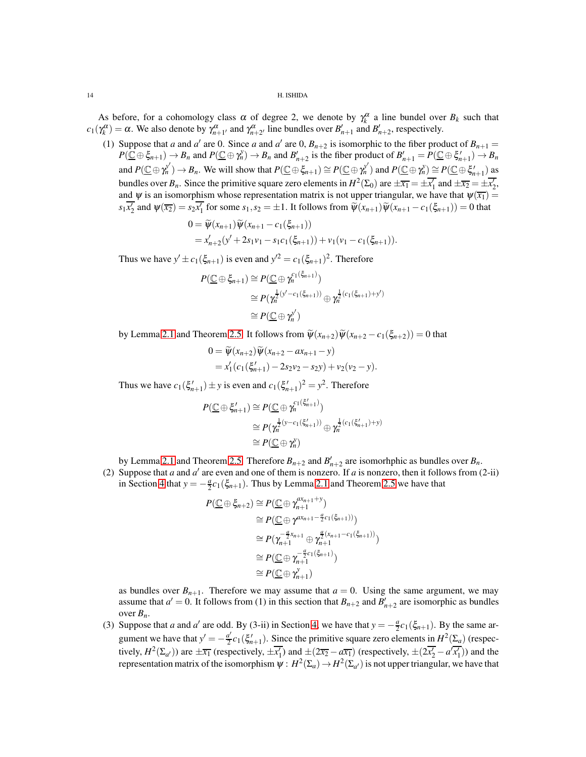As before, for a cohomology class  $\alpha$  of degree 2, we denote by  $\gamma_k^{\alpha}$  a line bundel over  $B_k$  such that  $c_1(\gamma_k^{\alpha}) = \alpha$ . We also denote by  $\gamma_{n+1}^{\alpha}$  and  $\gamma_{n+2}^{\alpha}$  line bundles over  $B'_{n+1}$  and  $B'_{n+2}$ , respectively.

(1) Suppose that *a* and *a'* are 0. Since *a* and *a'* are 0,  $B_{n+2}$  is isomorphic to the fiber product of  $B_{n+1}$  =  $P(\overline{\mathbb{C}} \oplus \xi_{n+1}) \to B_n$  and  $P(\overline{\mathbb{C}} \oplus \gamma_n^y) \to B_n$  and  $B'_{n+2}$  is the fiber product of  $B'_{n+1} = P(\overline{\mathbb{C}} \oplus \xi'_{n+1}) \to B_n$ and  $P(\underline{\mathbb{C}} \oplus \gamma_n^{y'}) \to B_n$ . We will show that  $P(\underline{\mathbb{C}} \oplus \xi_{n+1}) \cong P(\underline{\mathbb{C}} \oplus \gamma_n^{y'})$  and  $P(\underline{\mathbb{C}} \oplus \gamma_n^{y'}) \cong P(\underline{\mathbb{C}} \oplus \xi_{n+1}')$  as bundles over  $B_n$ . Since the primitive square zero elements in  $H^2(\Sigma_0)$  are  $\pm \overline{x_1} = \pm \overline{x'_1}$  and  $\pm \overline{x_2} = \pm \overline{x'_2}$ , and  $\psi$  is an isomorphism whose representation matrix is not upper triangular, we have that  $\psi(\overline{x_1}) =$  $s_1\overline{x'_2}$  and  $\psi(\overline{x_2}) = s_2\overline{x'_1}$  for some  $s_1, s_2 = \pm 1$ . It follows from  $\widetilde{\psi}(x_{n+1})\widetilde{\psi}(x_{n+1} - c_1(\xi_{n+1})) = 0$  that

$$
0 = \widetilde{\psi}(x_{n+1})\widetilde{\psi}(x_{n+1} - c_1(\xi_{n+1}))
$$
  
=  $x'_{n+2}(y' + 2s_1v_1 - s_1c_1(\xi_{n+1})) + v_1(v_1 - c_1(\xi_{n+1})).$ 

Thus we have  $y' \pm c_1(\xi_{n+1})$  is even and  $y'^2 = c_1(\xi_{n+1})^2$ . Therefore

$$
P(\underline{\mathbb{C}} \oplus \xi_{n+1}) \cong P(\underline{\mathbb{C}} \oplus \gamma_n^{c_1(\xi_{n+1})})
$$
  
\n
$$
\cong P(\gamma_n^{\frac{1}{2}(y'-c_1(\xi_{n+1}))} \oplus \gamma_n^{\frac{1}{2}(c_1(\xi_{n+1})+y')}
$$
  
\n
$$
\cong P(\underline{\mathbb{C}} \oplus \gamma_n^{y'})
$$

by Lemma [2.1](#page-1-1) and Theorem [2.5.](#page-3-1) It follows from  $\tilde{\psi}(x_{n+2})\tilde{\psi}(x_{n+2}-c_1(\xi_{n+2}))=0$  that

$$
0 = \widetilde{\psi}(x_{n+2}) \widetilde{\psi}(x_{n+2} - ax_{n+1} - y)
$$
  
=  $x'_1(c_1(\xi'_{n+1}) - 2s_2v_2 - s_2y) + v_2(v_2 - y).$ 

Thus we have  $c_1(\xi'_{n+1}) \pm y$  is even and  $c_1(\xi'_{n+1})^2 = y^2$ . Therefore

$$
P(\underline{\mathbb{C}} \oplus \xi'_{n+1}) \cong P(\underline{\mathbb{C}} \oplus \gamma_n^{c_1(\xi'_{n+1})})
$$
  
\n
$$
\cong P(\gamma_n^{\frac{1}{2}(y-c_1(\xi'_{n+1}))} \oplus \gamma_n^{\frac{1}{2}(c_1(\xi'_{n+1})+y)}
$$
  
\n
$$
\cong P(\underline{\mathbb{C}} \oplus \gamma_n^y)
$$

by Lemma [2.1](#page-1-1) and Theorem [2.5.](#page-3-1) Therefore  $B_{n+2}$  and  $B'_{n+2}$  are isomorhphic as bundles over  $B_n$ .

(2) Suppose that *a* and  $a'$  are even and one of them is nonzero. If *a* is nonzero, then it follows from (2-ii) in Section [4](#page-6-0) that  $y = -\frac{a}{2}c_1(\xi_{n+1})$ . Thus by Lemma [2.1](#page-1-1) and Theorem [2.5](#page-3-1) we have that

$$
P(\underline{\mathbb{C}} \oplus \xi_{n+2}) \cong P(\underline{\mathbb{C}} \oplus \gamma_{n+1}^{\alpha x_{n+1} + y})
$$
  
\n
$$
\cong P(\underline{\mathbb{C}} \oplus \gamma^{\alpha x_{n+1} - \frac{a}{2}c_1(\xi_{n+1}))})
$$
  
\n
$$
\cong P(\gamma_{n+1}^{-\frac{a}{2}x_{n+1}} \oplus \gamma_{n+1}^{\frac{a}{2}(x_{n+1} - c_1(\xi_{n+1}))})
$$
  
\n
$$
\cong P(\underline{\mathbb{C}} \oplus \gamma_{n+1}^{-\frac{a}{2}c_1(\xi_{n+1})})
$$
  
\n
$$
\cong P(\underline{\mathbb{C}} \oplus \gamma_{n+1}^{\gamma})
$$

as bundles over  $B_{n+1}$ . Therefore we may assume that  $a = 0$ . Using the same argument, we may assume that  $a' = 0$ . It follows from (1) in this section that  $B_{n+2}$  and  $B'_{n+2}$  are isomorphic as bundles over *Bn*.

(3) Suppose that *a* and *a'* are odd. By (3-ii) in Section [4,](#page-6-0) we have that  $y = -\frac{a}{2}c_1(\xi_{n+1})$ . By the same argument we have that  $y' = -\frac{a'}{2}$  $\frac{a'}{2}c_1(\xi'_{n+1})$ . Since the primitive square zero elements in  $H^2(\Sigma_a)$  (respectively,  $H^2(\Sigma_{a'})$  are  $\pm \overline{x_1}$  (respectively,  $\pm \overline{x_1'}$ ) and  $\pm (2\overline{x_2} - a\overline{x_1})$  (respectively,  $\pm (2\overline{x_2'} - a'\overline{x_1'})$ ) and the representation matrix of the isomorphism  $\psi : H^2(\Sigma_a) \to H^2(\Sigma_{a'})$  is not upper triangular, we have that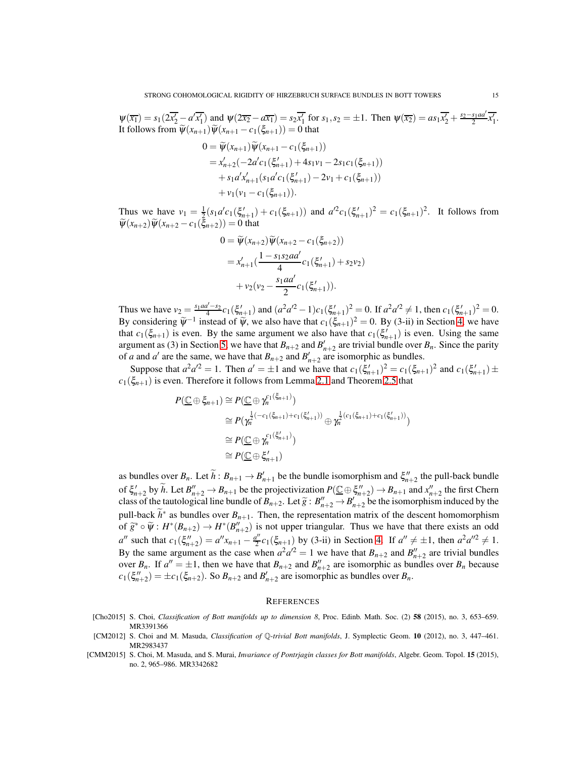$\psi(\overline{x_1}) = s_1(2\overline{x_2'} - a'\overline{x_1'})$  and  $\psi(2\overline{x_2} - a\overline{x_1}) = s_2\overline{x_1'}$  for  $s_1, s_2 = \pm 1$ . Then  $\psi(\overline{x_2}) = as_1\overline{x_2'} + \frac{s_2-s_1ad}{2}\overline{x_1'}$ . It follows from  $\widetilde{\psi}(x_{n+1})\widetilde{\psi}(x_{n+1} - c_1(\xi_{n+1})) = 0$  that

$$
0 = \widetilde{\psi}(x_{n+1})\widetilde{\psi}(x_{n+1} - c_1(\xi_{n+1}))
$$
  
=  $x'_{n+2}(-2a'c_1(\xi'_{n+1}) + 4s_1v_1 - 2s_1c_1(\xi_{n+1}))$   
+  $s_1a'x'_{n+1}(s_1a'c_1(\xi'_{n+1}) - 2v_1 + c_1(\xi_{n+1}))$   
+  $v_1(v_1 - c_1(\xi_{n+1})).$ 

Thus we have  $v_1 = \frac{1}{2}(s_1a'c_1(\xi'_{n+1}) + c_1(\xi_{n+1}))$  and  $a'^2c_1(\xi'_{n+1})^2 = c_1(\xi_{n+1})^2$ . It follows from  $\widetilde{\psi}(x_{n+2})\widetilde{\psi}(x_{n+2}-c_1(\xi_{n+2}))=0$  that

$$
0 = \widetilde{\psi}(x_{n+2})\widetilde{\psi}(x_{n+2} - c_1(\xi_{n+2}))
$$
  
=  $x'_{n+1}$   $\left(\frac{1 - s_1 s_2 a a'}{4} c_1(\xi'_{n+1}) + s_2 v_2\right)$   
+  $v_2(v_2 - \frac{s_1 a a'}{2} c_1(\xi'_{n+1})).$ 

Thus we have  $v_2 = \frac{s_1 a a' - s_2}{4} c_1(\xi'_{n+1})$  and  $(a^2 a'^2 - 1) c_1(\xi'_{n+1})^2 = 0$ . If  $a^2 a'^2 \neq 1$ , then  $c_1(\xi'_{n+1})^2 = 0$ . By considering  $\widetilde{\psi}^{-1}$  instead of  $\widetilde{\psi}$ , we also have that  $c_1(\xi_{n+1})^2 = 0$ . By (3-ii) in Section [4,](#page-6-0) we have that  $c_1(\xi_{n+1})$  is even. By the same argument we also have that  $c_1(\xi'_{n+1})$  is even. Using the same argument as (3) in Section [5,](#page-11-0) we have that  $B_{n+2}$  and  $B'_{n+2}$  are trivial bundle over  $B_n$ . Since the parity of *a* and *a'* are the same, we have that  $B_{n+2}$  and  $B'_{n+2}$  are isomorphic as bundles.

Suppose that  $a^2a^2 = 1$ . Then  $a' = \pm 1$  and we have that  $c_1(\xi_{n+1}')^2 = c_1(\xi_{n+1})^2$  and  $c_1(\xi_{n+1}') \pm c_1(\xi_{n+1}')$  $c_1(\xi_{n+1})$  is even. Therefore it follows from Lemma [2.1](#page-1-1) and Theorem [2.5](#page-3-1) that

$$
P(\underline{\mathbb{C}} \oplus \xi_{n+1}) \cong P(\underline{\mathbb{C}} \oplus \gamma_n^{c_1(\xi_{n+1})})
$$
  
\n
$$
\cong P(\gamma_n^{\frac{1}{2}(-c_1(\xi_{n+1})+c_1(\xi'_{n+1}))} \oplus \gamma_n^{\frac{1}{2}(c_1(\xi_{n+1})+c_1(\xi'_{n+1}))})
$$
  
\n
$$
\cong P(\underline{\mathbb{C}} \oplus \gamma_n^{c_1(\xi'_{n+1})})
$$
  
\n
$$
\cong P(\underline{\mathbb{C}} \oplus \xi'_{n+1})
$$

as bundles over  $B_n$ . Let  $\widetilde{h}: B_{n+1} \to B'_{n+1}$  be the bundle isomorphism and  $\xi''_{n+2}$  the pull-back bundle of  $\xi'_{n+2}$  by  $\widetilde{h}$ . Let  $B''_{n+2} \to B_{n+1}$  be the projectivization  $P(\underline{C} \oplus \xi''_{n+2}) \to B_{n+1}$  and  $x''_{n+2}$  the first Chern class of the tautological line bundle of  $B_{n+2}$ . Let  $\tilde{g}: B''_{n+2} \to B'_{n+2}$  be the isomorphism induced by the pull-back  $\widetilde{h}^*$  as bundles over  $B_{n+1}$ . Then, the representation matrix of the descent homomorphism of  $\widetilde{g}^* \circ \widetilde{\psi}: H^*(B_{n+2}) \to H^*(B_{n+2}'')$  is not upper triangular. Thus we have that there exists an odd  $a''$  such that  $c_1(\xi''_{n+2}) = a''x_{n+1} - \frac{a''}{2}$  $a''_2 c_1(\xi_{n+1})$  by (3-ii) in Section [4.](#page-6-0) If  $a'' \neq \pm 1$ , then  $a^2 a''^2 \neq 1$ . By the same argument as the case when  $a^2a^2 = 1$  we have that  $B_{n+2}$  and  $B''_{n+2}$  are trivial bundles over  $B_n$ . If  $a'' = \pm 1$ , then we have that  $B_{n+2}$  and  $B''_{n+2}$  are isomorphic as bundles over  $B_n$  because  $c_1(\xi_{n+2}^{\prime\prime}) = \pm c_1(\xi_{n+2})$ . So  $B_{n+2}$  and  $B'_{n+2}$  are isomorphic as bundles over  $B_n$ .

# **REFERENCES**

- <span id="page-14-0"></span>[Cho2015] S. Choi, *Classification of Bott manifolds up to dimension 8*, Proc. Edinb. Math. Soc. (2) 58 (2015), no. 3, 653–659. MR3391366
- <span id="page-14-1"></span>[CM2012] S. Choi and M. Masuda, *Classification of* Q*-trivial Bott manifolds*, J. Symplectic Geom. 10 (2012), no. 3, 447–461. MR2983437
- <span id="page-14-2"></span>[CMM2015] S. Choi, M. Masuda, and S. Murai, *Invariance of Pontrjagin classes for Bott manifolds*, Algebr. Geom. Topol. 15 (2015), no. 2, 965–986. MR3342682